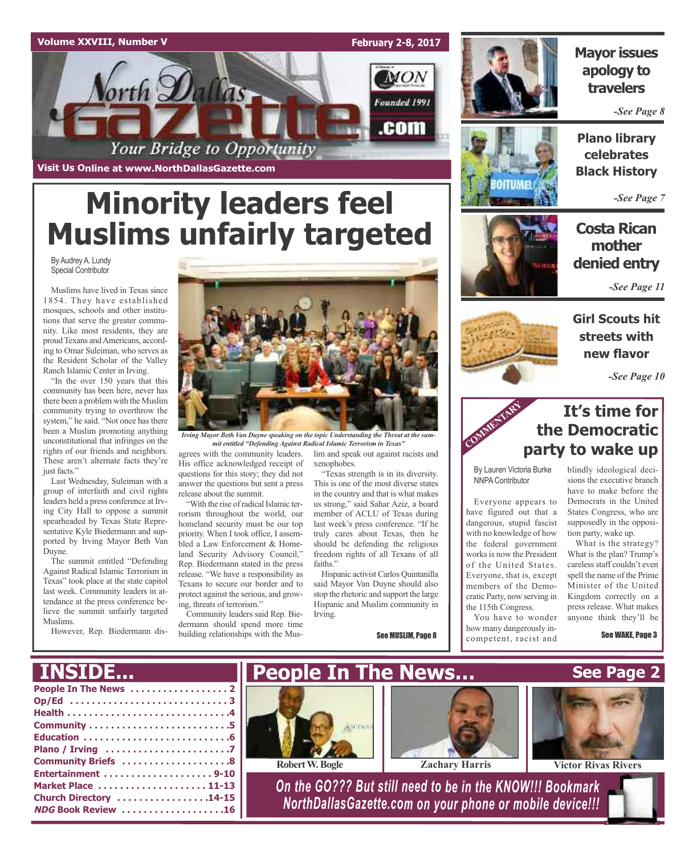



**Mayor issues apology to travelers**

*-See Page 8*

**Plano library celebrates Black History**

*-See Page 7*

## **Costa Rican mother denied entry**

*-See Page 11*

**Girl Scouts hit streets with new flavor**

*-See Page 10*

## **It's time for the Democratic party to wake up**

By Lauren Victoria Burke NNPA Contributor

Everyone appears to have figured out that a dangerous, stupid fascist with no knowledge of how the federal government works is now the President of the United States. Everyone, that is, except members of the Democratic Party, now serving in the 115th Congress.

You have to wonder how many dangerously incompetent, racist and



blindly ideological decisions the executive branch have to make before the Democrats in the United States Congress, who are supposedly in the opposi-

> tion party, wake up. What is the strategy? What is the plan? Trump's careless staff couldn't even spell the name of the Prime Minister of the United Kingdom correctly on a press release. What makes anyone think they'll be

> > See WAKE, Page 3



*Irving Mayor Beth Van Duyne speaking on the topic Understanding the Threat at the summit entitled "Defending Against Radical Islamic Terrorism in Texas"*

agrees with the community leaders. His office acknowledged receipt of questions for this story; they did not answer the questions but sent a press release about the summit.

"With the rise of radical Islamic terrorism throughout the world, our homeland security must be our top priority. When I took office, I assembled a Law Enforcement & Homeland Security Advisory Council," Rep. Biedermann stated in the press release. "We have a responsibility as Texans to secure our border and to protect against the serious, and growing, threats of terrorism."

Community leaders said Rep. Biedermann should spend more time building relationships with the Mus-

lim and speak out against racists and xenophobes.

"Texas strength is in its diversity. This is one of the most diverse states in the country and that is what makes us strong," said Sahar Aziz, a board member of ACLU of Texas during last week's press conference. "If he truly cares about Texas, then he should be defending the religious freedom rights of all Texans of all faiths."

Hispanic activist Carlos Quintanilla said Mayor Van Duyne should also stop the rhetoric and support the large Hispanic and Muslim community in Irving.

See MUSLIM, Page 8







**Visit Us Online at www.NorthDallasGazette.com**

## **Minority leaders feel Muslims unfairly targeted**

By Audrey A. Lundy Special Contributor

Muslims have lived in Texas since 1854. They have established mosques, schools and other institutions that serve the greater community. Like most residents, they are proud Texans and Americans, according to Omar Suleiman, who serves as the Resident Scholar of the Valley Ranch Islamic Center in Irving.

"In the over 150 years that this community has been here, never has there been a problem with the Muslim community trying to overthrow the system," he said. "Not once has there been a Muslim promoting anything unconstitutional that infringes on the rights of our friends and neighbors. These aren't alternate facts they're just facts."

Last Wednesday, Suleiman with a group of interfaith and civil rights leaders held a press conference at Irving City Hall to oppose a summit spearheaded by Texas State Representative Kyle Biedermann and supported by Irving Mayor Beth Van Duyne.

The summit entitled "Defending Against Radical Islamic Terrorism in Texas" took place at the state capitol last week. Community leaders in attendance at the press conference believe the summit unfairly targeted Muslims.

However, Rep. Biedermann dis-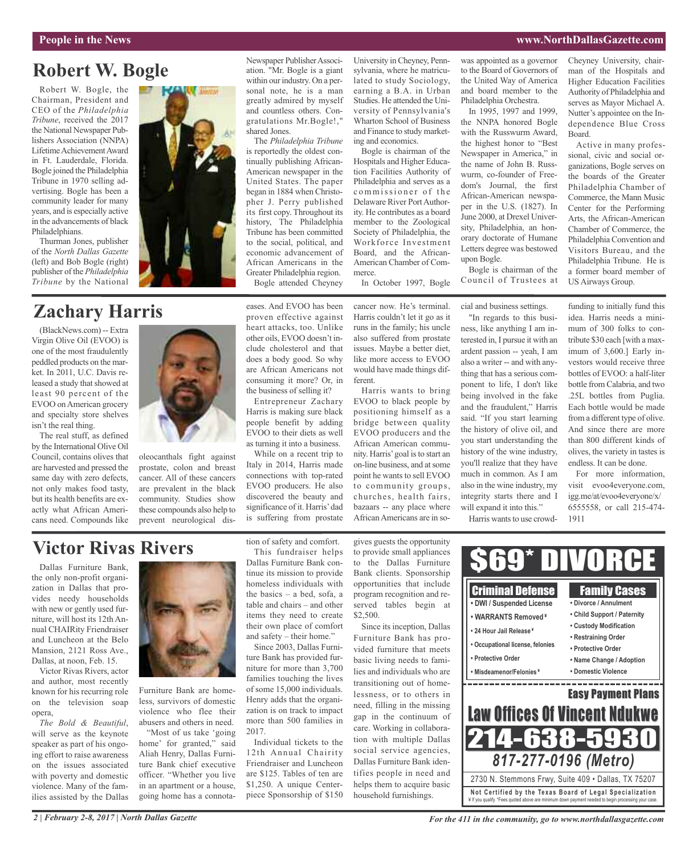#### **People in the News www.NorthDallasGazette.com**

## **Robert W. Bogle**

Robert W. Bogle, the Chairman, President and CEO of the *Philadelphia Tribune*, received the 2017 the National Newspaper Publishers Association (NNPA) Lifetime Achievement Award in Ft. Lauderdale, Florida. Bogle joined the Philadelphia Tribune in 1970 selling advertising. Bogle has been a community leader for many years, and is especially active in the advancements of black Philadelphians.

Thurman Jones, publisher of the *North Dallas Gazette* (left) and Bob Bogle (right) publisher of the *Philadelphia Tribune* by the National

## **Zachary Harris**

(BlackNews.com) -- Extra Virgin Olive Oil (EVOO) is one of the most fraudulently peddled products on the market. In 2011, U.C. Davis released a study that showed at least 90 percent of the EVOO onAmerican grocery and specialty store shelves isn't the real thing.

The real stuff, as defined by the International Olive Oil Council, contains olives that are harvested and pressed the same day with zero defects, not only makes food tasty, but its health benefits are exactly what African Americans need. Compounds like



Newspaper Publisher Association. "Mr. Bogle is a giant within our industry. On a personal note, he is a man greatly admired by myself and countless others. Congratulations Mr.Bogle!," shared Jones.

The *Philadelphia Tribune* is reportedly the oldest continually publishing African-American newspaper in the United States. The paper began in 1884 when Christopher J. Perry published its first copy. Throughout its history, The Philadelphia Tribune has been committed to the social, political, and economic advancement of African Americans in the Greater Philadelphia region. Bogle attended Cheyney

eases. And EVOO has been proven effective against heart attacks, too. Unlike other oils, EVOO doesn't include cholesterol and that does a body good. So why are African Americans not

the business of selling it? Entrepreneur Zachary Harris is making sure black people benefit by adding EVOO to their diets as well as turning it into a business.

consuming it more? Or, in

While on a recent trip to Italy in 2014, Harris made connections with top-rated EVOO producers. He also discovered the beauty and significance of it. Harris'dad is suffering from prostate

University inCheyney, Pennsylvania, where he matriculated to study Sociology, earning a B.A. in Urban Studies. He attended the University of Pennsylvania's Wharton School of Business and Finance to study marketing and economics.

Bogle is chairman of the Hospitals and Higher Education Facilities Authority of Philadelphia and serves as a commissioner of the Delaware River PortAuthority. He contributes as a board member to the Zoological Society of Philadelphia, the Workforce Investment Board, and the African-American Chamber of Commerce.

In October 1997, Bogle

cancer now. He's terminal. Harris couldn't let it go as it runs in the family; his uncle also suffered from prostate issues. Maybe a better diet, like more access to EVOO would have made things different.

Harris wants to bring EVOO to black people by positioning himself as a bridge between quality EVOO producers and the African American community. Harris'goal isto start an on-line business, and atsome point he wants to sell EVOO to community groups, churches, health fairs, bazaars -- any place where African Americans are in sowas appointed as a governor to the Board of Governors of the United Way of America and board member to the Philadelphia Orchestra.

In 1995, 1997 and 1999, the NNPA honored Bogle with the Russwurm Award, the highest honor to "Best Newspaper in America," in the name of John B. Russwurm, co-founder of Freedom's Journal, the first African-American newspaper in the U.S. (1827). In June 2000, at Drexel University, Philadelphia, an honorary doctorate of Humane Letters degree was bestowed upon Bogle.

Bogle is chairman of the Council of Trustees at

cial and business settings.

"In regards to this business, like anything I am interested in, I pursue it with an ardent passion -- yeah, I am also a writer -- and with anything that has a serious component to life, I don't like being involved in the fake and the fraudulent," Harris said. "If you start learning the history of olive oil, and you start understanding the history of the wine industry, you'll realize that they have much in common. As I am also in the wine industry, my integrity starts there and I will expand it into this." Harris wants to use crowdCheyney University, chairman of the Hospitals and Higher Education Facilities Authority of Philadelphia and serves as Mayor Michael A. Nutter's appointee on the Independence Blue Cross Board.

Active in many professional, civic and social organizations, Bogle serves on the boards of the Greater Philadelphia Chamber of Commerce, the Mann Music Center for the Performing Arts, the African-American Chamber of Commerce, the Philadelphia Convention and Visitors Bureau, and the Philadelphia Tribune. He is a former board member of US Airways Group.

funding to initially fund this idea. Harris needs a minimum of 300 folks to contribute \$30 each [with a maximum of 3,600.] Early investors would receive three bottles of EVOO: a half-liter bottle from Calabria, and two .25L bottles from Puglia. Each bottle would be made from a different type of olive. And since there are more than 800 different kinds of olives, the variety in tastes is endless. It can be done.

For more information, visit evoo4everyone.com, igg.me/at/evoo4everyone/x/ 6555558, or call 215-474- 1911

## **Victor Rivas Rivers**

Dallas Furniture Bank, the only non-profit organization in Dallas that provides needy households with new or gently used furniture, will host its 12th Annual CHAIRity Friendraiser and Luncheon at the Belo Mansion, 2121 Ross Ave., Dallas, at noon, Feb. 15.

Victor Rivas Rivers, actor and author, most recently known for his recurring role on the television soap opera,

*The Bold & Beautiful*, will serve as the keynote speaker as part of his ongoing effort to raise awareness on the issues associated with poverty and domestic violence. Many of the families assisted by the Dallas



oleocanthals fight against prostate, colon and breast cancer. All of these cancers are prevalent in the black community. Studies show these compounds also help to prevent neurological dis-

Furniture Bank are homeless, survivors of domestic violence who flee their abusers and others in need.

"Most of us take 'going home' for granted," said Aliah Henry, Dallas Furniture Bank chief executive officer. "Whether you live in an apartment or a house, going home has a connotation of safety and comfort.

This fundraiser helps Dallas Furniture Bank continue its mission to provide homeless individuals with the basics – a bed, sofa, a table and chairs – and other items they need to create their own place of comfort and safety – their home."

Since 2003, Dallas Furniture Bank has provided furniture for more than 3,700 families touching the lives of some 15,000 individuals. Henry adds that the organization is on track to impact more than 500 families in 2017.

Individual tickets to the 12th Annual Chairity Friendraiser and Luncheon are \$125. Tables of ten are \$1,250. A unique Centerpiece Sponsorship of \$150

gives guests the opportunity to provide small appliances to the Dallas Furniture Bank clients. Sponsorship opportunities that include program recognition and reserved tables begin at \$2,500.

Since its inception, Dallas Furniture Bank has provided furniture that meets basic living needs to families and individuals who are transitioning out of homelessness, or to others in need, filling in the missing gap in the continuum of care. Working in collaboration with multiple Dallas social service agencies, Dallas Furniture Bank identifies people in need and helps them to acquire basic household furnishings.

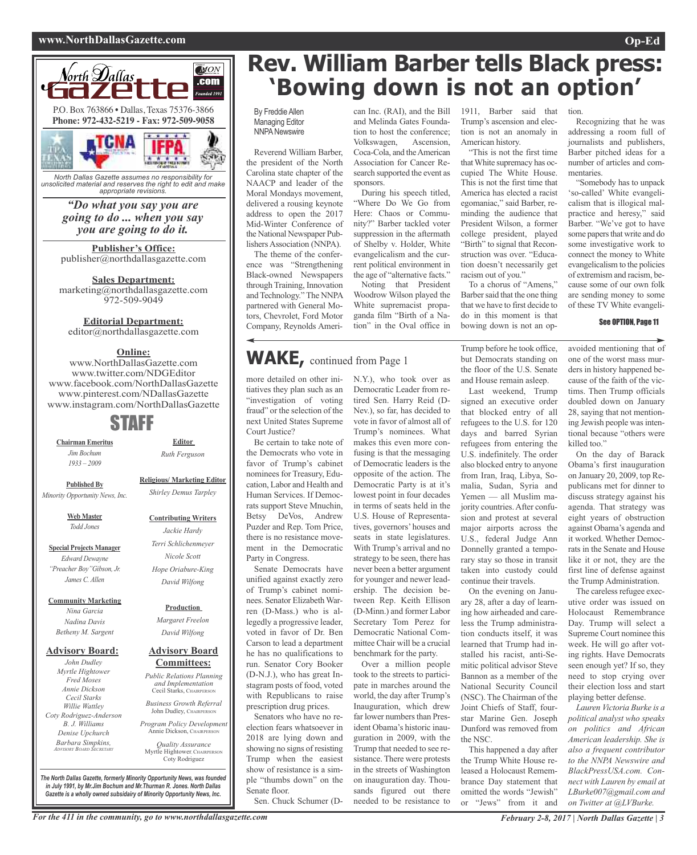#### **www.NorthDallasGazette.com Op-Ed**



*North Dallas Gazette assumes no responsibility for unsolicited material and reserves the right to edit and make appropriate revisions.*

> *"Do what you say you are going to do ... when you say you are going to do it.*

**Publisher's Office:** publisher@northdallasgazette.com

**Sales Department:** marketing@northdallasgazette.com 972-509-9049

#### **Editorial Department:**

editor@northdallasgazette.com

## **Online:**

www.NorthDallasGazette.com www.twitter.com/NDGEditor www.facebook.com/NorthDallasGazette www.pinterest.com/NDallasGazette www.instagram.com/NorthDallasGazette

## STAFF

**Chairman Emeritus** *Jim Bochum 1933 – 2009*

> **Religious/ Marketing Editor** *Shirley Demus Tarpley*

**Editor** *Ruth Ferguson*

**Published By** *Minority Opportunity News, Inc.*

> **Web Master** *Todd Jones*

**Special Projects Manager** *Edward Dewayne "Preacher Boy"Gibson, Jr. James C. Allen*

**Community Marketing**

*Nina Garcia Nadina Davis Betheny M. Sargent*

#### **Advisory Board:**

*John Dudley Myrtle Hightower Fred Moses Annie Dickson Cecil Starks Willie Wattley Coty Rodriguez-Anderson B. J. Williams Denise Upchurch Barbara Simpkins, ADVISORY BOARD SECRETARY*

*Hope Oriabure-King David Wilfong*

## **Advisory Board**

## **Committees:**

*Public Relations Planning and Implementation* Cecil Starks, CHAIRPERSON *Business Growth Referral*

John Dudley, CHAIRPERSON *Program Policy Development*

Annie Dickson, Chairper *Quality Assurance*

Myrtle Hightower, CHAIRPERSON Coty Rodriguez

## **Rev. William Barber tells Black press: 'Bowing down is not an option'**

By Freddie Allen Managing Editor **NNPA** Newswire

Reverend William Barber, the president of the North Carolina state chapter of the NAACP and leader of the Moral Mondays movement, delivered a rousing keynote address to open the 2017 Mid-Winter Conference of the National Newspaper Publishers Association (NNPA).

The theme of the conference was "Strengthening Black-owned Newspapers through Training, Innovation and Technology." The NNPA partnered with General Motors, Chevrolet, Ford Motor Company, Reynolds Ameri-

Association for Cancer Research supported the event as sponsors. During his speech titled, "Where Do We Go from Here: Chaos or Community?" Barber tackled voter suppression in the aftermath

can Inc. (RAI), and the Bill

Volkswagen, Ascension,

of Shelby v. Holder, White evangelicalism and the current political environment in the age of "alternative facts." Noting that President Woodrow Wilson played the

White supremacist propaganda film "Birth of a Nation" in the Oval office in

N.Y.), who took over as Democratic Leader from retired Sen. Harry Reid (D-Nev.), so far, has decided to vote in favor of almost all of Trump's nominees. What makes this even more confusing is that the messaging of Democratic leaders is the opposite of the action. The Democratic Party is at it's lowest point in four decades in terms of seats held in the U.S. House of Representatives, governors' houses and seats in state legislatures. With Trump's arrival and no strategy to be seen, there has never been a better argument for younger and newer leadership. The decision between Rep. Keith Ellison (D-Minn.) and former Labor Secretary Tom Perez for Democratic National Committee Chair will be a crucial benchmark for the party. Over a million people took to the streets to participate in marches around the world, the day after Trump's Inauguration, which drew far lower numbers than President Obama's historic inauguration in 2009, with the Trump that needed to see resistance. There were protests in the streets of Washington on inauguration day. Thousands figured out there needed to be resistance to

## **WAKE,** continued from Page <sup>1</sup>

more detailed on other initiatives they plan such as an "investigation of voting fraud" or the selection of the next United States Supreme Court Justice?

Be certain to take note of the Democrats who vote in favor of Trump's cabinet nominees for Treasury, Education, Labor and Health and Human Services. If Democrats support Steve Mnuchin, Betsy DeVos, Andrew Puzder and Rep. Tom Price, there is no resistance movement in the Democratic Party in Congress.

Senate Democrats have unified against exactly zero of Trump's cabinet nominees. Senator Elizabeth Warren (D-Mass.) who is allegedly a progressive leader, voted in favor of Dr. Ben Carson to lead a department he has no qualifications to run. Senator Cory Booker (D-N.J.), who has great Instagram posts of food, voted with Republicans to raise prescription drug prices.

Senators who have no reelection fears whatsoever in 2018 are lying down and showing no signs of resisting Trump when the easiest show of resistance is a simple "thumbs down" on the Senate floor.

Sen. Chuck Schumer (D-

and Melinda Gates Foundation to host the conference; Coca-Cola, and theAmerican Trump's ascension and election is not an anomaly in American history. "This is not the first time thatWhite supremacy has oc-

1911, Barber said that

cupied The White House. This is not the first time that America has elected a racist egomaniac," said Barber, reminding the audience that President Wilson, a former college president, played "Birth" to signal that Reconstruction was over. "Education doesn't necessarily get racism out of you."

To a chorus of "Amens," Barber said that the one thing that we have to first decide to do in this moment is that bowing down is not an op-

Trump before he took office, but Democrats standing on the floor of the U.S. Senate and House remain asleep.

Last weekend, Trump signed an executive order that blocked entry of all refugees to the U.S. for 120 days and barred Syrian refugees from entering the U.S. indefinitely. The order also blocked entry to anyone from Iran, Iraq, Libya, Somalia, Sudan, Syria and Yemen — all Muslim majority countries.After confusion and protest at several major airports across the U.S., federal Judge Ann Donnelly granted a temporary stay so those in transit taken into custody could continue their travels.

On the evening on January 28, after a day of learning how airheaded and careless the Trump administration conducts itself, it was learned that Trump had installed his racist, anti-Semitic political advisor Steve Bannon as a member of the National Security Council (NSC). The Chairman of the Joint Chiefs of Staff, fourstar Marine Gen. Joseph Dunford was removed from the NSC.

This happened a day after the Trump White House released a Holocaust Remembrance Day statement that omitted the words "Jewish" or "Jews" from it and tion.

Recognizing that he was addressing a room full of journalists and publishers, Barber pitched ideas for a number of articles and commentaries.

"Somebody has to unpack 'so-called' White evangelicalism that is illogical malpractice and heresy," said Barber. "We've got to have some papers that write and do some investigative work to connect the money to White evangelicalism to the policies of extremism and racism, because some of our own folk are sending money to some of these TV White evangeli-

#### See OPTION, Page 11

avoided mentioning that of one of the worst mass murders in history happened because of the faith of the victims. Then Trump officials doubled down on January 28, saying that not mentioning Jewish people wasintentional because "others were killed too."

On the day of Barack Obama's first inauguration on January 20, 2009, top Republicans met for dinner to discuss strategy against his agenda. That strategy was eight years of obstruction against Obama's agenda and it worked. Whether Democrats in the Senate and House like it or not, they are the first line of defense against the Trump Administration.

The careless refugee executive order was issued on Holocaust Remembrance Day. Trump will select a Supreme Court nominee this week. He will go after voting rights. Have Democrats seen enough yet? If so, they need to stop crying over their election loss and start playing better defense.

*Lauren Victoria Burke is a political analyst who speaks on politics and African American leadership. She is also a frequent contributor to the NNPA Newswire and BlackPressUSA.com. Connect with Lauren by email at LBurke007@gmail.com and on Twitter at @LVBurke.*

*The North Dallas Gazette, formerly Minority Opportunity News, was founded in July 1991, by Mr.Jim Bochum and Mr.Thurman R. Jones. North Dallas Gazette is a wholly owned subsidairy of Minority Opportunity News, Inc.*



**Production** *Margaret Freelon David Wilfong*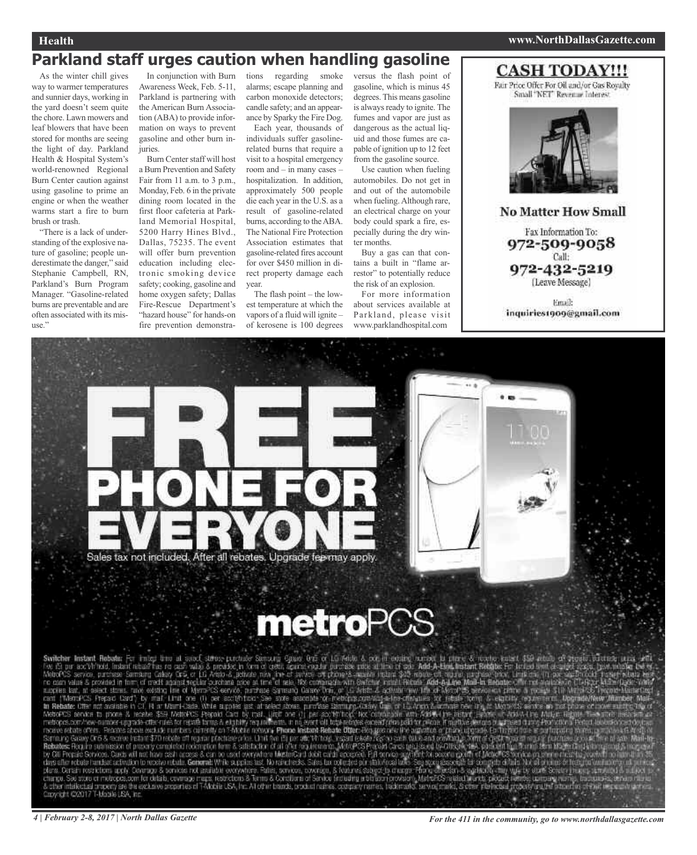## **Health www.NorthDallasGazette.com**

## **Parkland staff urges caution when handling gasoline**

As the winter chill gives way to warmer temperatures and sunnier days, working in the yard doesn't seem quite the chore. Lawn mowers and leaf blowers that have been stored for months are seeing the light of day. Parkland Health & Hospital System's world-renowned Regional Burn Center caution against using gasoline to prime an engine or when the weather warms start a fire to burn brush or trash.

"There is a lack of understanding of the explosive nature of gasoline; people underestimate the danger," said Stephanie Campbell, RN, Parkland's Burn Program Manager. "Gasoline-related burns are preventable and are often associated with its misuse."

Awareness Week, Feb. 5-11, Parkland is partnering with the American Burn Association (ABA) to provide information on ways to prevent gasoline and other burn injuries.

Burn Center staff will host a Burn Prevention and Safety Fair from 11 a.m. to 3 p.m., Monday, Feb. 6 in the private dining room located in the first floor cafeteria at Parkland Memorial Hospital, 5200 Harry Hines Blvd., Dallas, 75235. The event will offer burn prevention education including electronic smoking device safety; cooking, gasoline and home oxygen safety; Dallas Fire-Rescue Department's "hazard house" for hands-on fire prevention demonstra-

In conjunction with Burn tions regarding smoke alarms; escape planning and carbon monoxide detectors; candle safety; and an appearance by Sparky the Fire Dog.

Each year, thousands of individuals suffer gasolinerelated burns that require a visit to a hospital emergency room and – in many cases – hospitalization. In addition, approximately 500 people die each year in the U.S. as a result of gasoline-related burns, according to the ABA. The National Fire Protection Association estimates that gasoline-related fires account for over \$450 million in direct property damage each year.

The flash point – the lowest temperature at which the vapors of a fluid will ignite – of kerosene is 100 degrees

versus the flash point of gasoline, which is minus 45 degrees. This means gasoline is always ready to ignite. The fumes and vapor are just as dangerous as the actual liquid and those fumes are capable of ignition up to 12 feet from the gasoline source.

Use caution when fueling automobiles. Do not get in and out of the automobile when fueling.Although rare, an electrical charge on your body could spark a fire, especially during the dry winter months.

Buy a gas can that contains a built in "flame arrestor" to potentially reduce the risk of an explosion.

For more information about services available at Parkland, please visit www.parklandhospital.com

## **CASH TODAY!!!**

Fair Price Offer For Oil and/or Gas Royalty Small 'NET' Revenue Interest



**No Matter How Small** Fax Information To: 972-509-9058 Call: 972-432-5219 (Leave Message)

Email: inquiries1909@gmail.com

Sales tax not included. After all rebates. Upgrade fee may apply.

# **metroPCS**

Switcher Instant Rubate For imaging and College perchase Semanti Gase (15 Mile & Scrib edite, Derivative New Yorker Semanti Real of the Semanti Real of the Semanti Real of the Semanti Semanti Real of the Semanti Real of t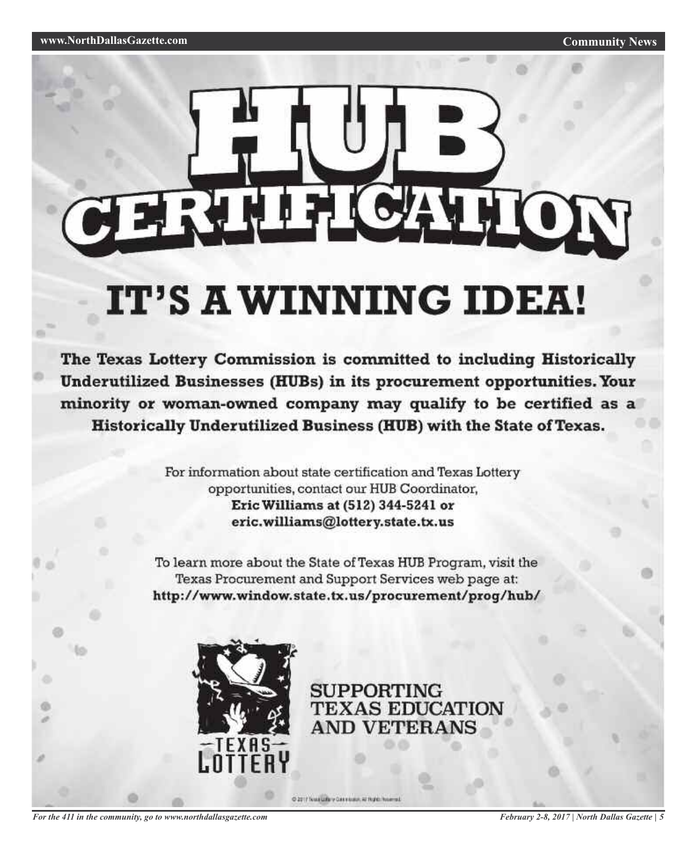# ERTHELCATION

# IT'S A WINNING IDEA!

The Texas Lottery Commission is committed to including Historically Underutilized Businesses (HUBs) in its procurement opportunities. Your minority or woman-owned company may qualify to be certified as a Historically Underutilized Business (HUB) with the State of Texas.

> For information about state certification and Texas Lottery opportunities, contact our HUB Coordinator, Eric Williams at (512) 344-5241 or eric.williams@lottery.state.tx.us

To learn more about the State of Texas HUB Program, visit the Texas Procurement and Support Services web page at: http://www.window.state.tx.us/procurement/prog/hub/

C 2017 Nua Life y Gas vissor, Al Right Nuamed



**SUPPORTING TEXAS EDUCATION AND VETERANS** 

*For the 411 in the community, go to www.northdallasgazette.com*

*February 2-8, 2017 | North Dallas Gazette | 5*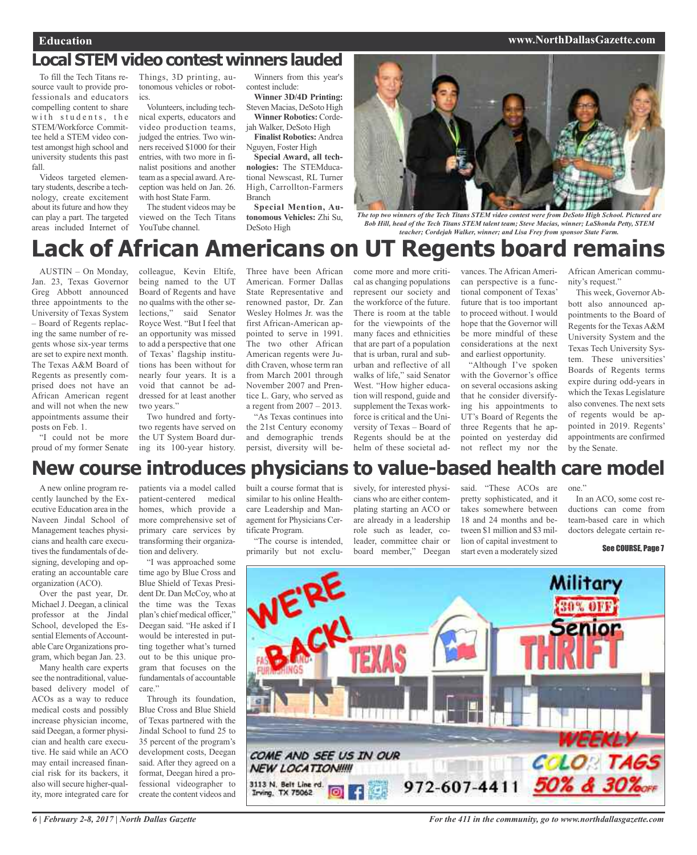#### **Education www.NorthDallasGazette.com**

## **Local STEM video contest winners lauded**

To fill the Tech Titans resource vault to provide professionals and educators compelling content to share with students, the STEM/Workforce Committee held a STEM video contest amongst high school and university students this past fall.

Videos targeted elementary students, describe a technology, create excitement about its future and how they can play a part. The targeted areas included Internet of

Things, 3D printing, autonomous vehicles or robotics.

Volunteers, including technical experts, educators and video production teams, judged the entries. Two winners received \$1000 for their entries, with two more in finalist positions and another team as a special award.Areception was held on Jan. 26. with host State Farm.

The student videos may be viewed on the Tech Titans YouTube channel.

Winners from this year's contest include: **Winner 3D/4D Printing:**

Steven Macias, DeSoto High **Winner Robotics:** Cordejah Walker, DeSoto High

**Finalist Robotics:** Andrea Nguyen, Foster High

**Special Award, all technologies:** The STEMducational Newscast, RL Turner High, Carrollton-Farmers Branch

**Special Mention, Autonomous Vehicles:** Zhi Su, DeSoto High



The top two winners of the Tech Titans STEM video contest were from DeSoto High School. Pictured are *Bob Hill, head of the Tech Titans STEM talent team; Steve Macias, winner; LaShonda Petty, STEM teacher; Cordejah Walker, winner; and Lisa Frey from sponsor State Farm.*

## **Lack of African Americans on UT Regents board remains**

AUSTIN – On Monday, Jan. 23, Texas Governor Greg Abbott announced three appointments to the University of Texas System – Board of Regents replacing the same number of regents whose six-year terms are set to expire next month. The Texas A&M Board of Regents as presently comprised does not have an African American regent and will not when the new appointments assume their posts on Feb. 1.

"I could not be more proud of my former Senate colleague, Kevin Eltife, being named to the UT Board of Regents and have no qualms with the other selections," said Senator Royce West. "But I feel that an opportunity was missed to add a perspective that one of Texas' flagship institutions has been without for nearly four years. It is a void that cannot be addressed for at least another two years."

Two hundred and fortytwo regents have served on the UT System Board during its 100-year history.

Three have been African American. Former Dallas State Representative and renowned pastor, Dr. Zan Wesley Holmes Jr. was the first African-American appointed to serve in 1991. The two other African American regents were Judith Craven, whose term ran from March 2001 through November 2007 and Prentice L. Gary, who served as a regent from 2007 – 2013.

"As Texas continues into the 21st Century economy and demographic trends persist, diversity will become more and more critical as changing populations represent our society and the workforce of the future. There is room at the table for the viewpoints of the many faces and ethnicities that are part of a population that is urban, rural and suburban and reflective of all walks of life," said Senator West. "How higher education will respond, guide and supplement the Texas workforce is critical and the University of Texas – Board of Regents should be at the helm of these societal advances. The African American perspective is a functional component of Texas' future that is too important to proceed without. I would hope that the Governor will be more mindful of these considerations at the next and earliest opportunity.

"Although I've spoken with the Governor's office on several occasions asking that he consider diversifying his appointments to UT's Board of Regents the three Regents that he appointed on yesterday did not reflect my nor the

African American community's request."

This week, Governor Abbott also announced appointments to the Board of Regents for the Texas A&M University System and the Texas Tech University System. These universities' Boards of Regents terms expire during odd-years in which the Texas Legislature also convenes. The next sets of regents would be appointed in 2019. Regents' appointments are confirmed by the Senate.

## **New course introduces physicians to value-based health care model**

A new online program recently launched by the Executive Education area in the Naveen Jindal School of Management teaches physicians and health care executives the fundamentals of designing, developing and operating an accountable care organization (ACO).

Over the past year, Dr. Michael J. Deegan, a clinical professor at the Jindal School, developed the Essential Elements of Accountable Care Organizations program, which began Jan. 23.

Many health care experts see the nontraditional, valuebased delivery model of ACOs as a way to reduce medical costs and possibly increase physician income, said Deegan, a former physician and health care executive. He said while an ACO may entail increased financial risk for its backers, it also will secure higher-quality, more integrated care for

patients via a model called patient-centered medical homes, which provide a more comprehensive set of primary care services by transforming their organization and delivery.

"I was approached some time ago by Blue Cross and Blue Shield of Texas President Dr. Dan McCoy, who at the time was the Texas plan's chief medical officer," Deegan said. "He asked if I would be interested in putting together what's turned out to be this unique program that focuses on the fundamentals of accountable care"

Through its foundation, Blue Cross and Blue Shield of Texas partnered with the Jindal School to fund 25 to 35 percent of the program's development costs, Deegan said. After they agreed on a format, Deegan hired a professional videographer to create the content videos and built a course format that is similar to his online Healthcare Leadership and Management for Physicians Certificate Program.

"The course is intended, primarily but not exclu-

sively, for interested physicians who are either contemplating starting an ACO or are already in a leadership role such as leader, coleader, committee chair or board member," Deegan

said. "These ACOs are pretty sophisticated, and it takes somewhere between 18 and 24 months and between \$1 million and \$3 million of capital investment to start even a moderately sized

one." In an ACO, some cost reductions can come from team-based care in which

doctors delegate certain re-

See COURSE, Page 7

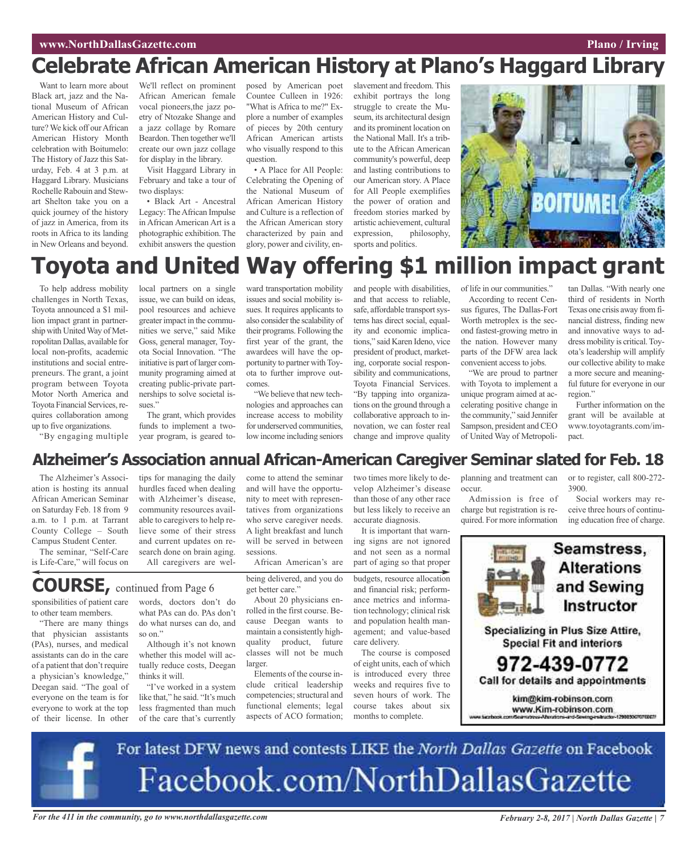## **www.NorthDallasGazette.com Plano** / **Irving**

## **Celebrate African American History at Plano's Haggard Library**

Want to learn more about Black art, jazz and the National Museum of African American History and Culture? We kick off our African American History Month celebration with Boitumelo: The History of Jazz this Saturday, Feb. 4 at 3 p.m. at Haggard Library. Musicians Rochelle Rabouin and Stewart Shelton take you on a quick journey of the history of jazz in America, from its roots in Africa to its landing in New Orleans and beyond.

We'll reflect on prominent African American female vocal pioneers,the jazz poetry of Ntozake Shange and a jazz collage by Romare Beardon. Then together we'll create our own jazz collage for display in the library.

Visit Haggard Library in February and take a tour of two displays:

• Black Art - Ancestral Legacy: TheAfrican Impulse in African American Art is a photographic exhibition. The exhibit answers the question

posed by American poet Countee Culleen in 1926: "What is Africa to me?" Explore a number of examples of pieces by 20th century African American artists who visually respond to this question.

• A Place for All People: Celebrating the Opening of the National Museum of African American History and Culture is a reflection of the African American story characterized by pain and glory, power and civility, en-

slavement and freedom. This exhibit portrays the long struggle to create the Museum, its architectural design and its prominent location on the National Mall. It's a tribute to the African American community's powerful, deep and lasting contributions to our American story. A Place for All People exemplifies the power of oration and freedom stories marked by artistic achievement, cultural expression, philosophy, sports and politics.



## **Toyota and United Way offering \$1 million impact grant**

To help address mobility challenges in North Texas, Toyota announced a \$1 million impact grant in partnership with United Way of Metropolitan Dallas, available for local non-profits, academic institutions and social entrepreneurs. The grant, a joint program between Toyota Motor North America and Toyota Financial Services, requires collaboration among up to five organizations.

local partners on a single issue, we can build on ideas, pool resources and achieve greaterimpact in the communities we serve," said Mike Goss, general manager, Toyota Social Innovation. "The initiative is part of larger community programing aimed at creating public-private partnerships to solve societal issues."

The grant, which provides funds to implement a twoyear program, is geared to-

ward transportation mobility issues and social mobility issues. It requires applicants to also consider the scalability of their programs. Following the first year of the grant, the awardees will have the opportunity to partner with Toyota to further improve outcomes.

"We believe that new technologies and approaches can increase access to mobility for underserved communities, low income including seniors

come to attend the seminar

and people with disabilities, and that access to reliable, safe, affordable transport systems has direct social, equality and economic implications," said Karen Ideno, vice president of product, marketing, corporate social responsibility and communications, Toyota Financial Services. "By tapping into organizations on the ground through a collaborative approach to innovation, we can foster real change and improve quality

two times more likely to develop Alzheimer's disease than those of any other race but less likely to receive an

It is important that warning signs are not ignored

accurate diagnosis.

of life in our communities."

According to recent Census figures, The Dallas-Fort Worth metroplex is the second fastest-growing metro in the nation. However many parts of the DFW area lack convenient access to jobs.

"We are proud to partner with Toyota to implement a unique program aimed at accelerating positive change in the community," said Jennifer Sampson, president and CEO of United Way of Metropoli-

tan Dallas. "With nearly one third of residents in North Texas one crisis away fromfinancial distress, finding new and innovative ways to address mobility is critical.Toyota's leadership will amplify our collective ability to make a more secure and meaningful future for everyone in our region."

Further information on the grant will be available at www.toyotagrants.com/impact.

## **Alzheimer's Association annual African-American Caregiver Seminar slated for Feb. 18**

The Alzheimer's Association is hosting its annual African American Seminar on Saturday Feb. 18 from 9 a.m. to 1 p.m. at Tarrant County College – South Campus Student Center.

"By engaging multiple

The seminar, "Self-Care is Life-Care," will focus on

sponsibilities of patient care to other team members. "There are many things that physician assistants (PAs), nurses, and medical assistants can do in the care of a patient that don't require a physician's knowledge," Deegan said. "The goal of everyone on the team is for everyone to work at the top of their license. In other

tips for managing the daily hurdles faced when dealing with Alzheimer's disease, community resources available to caregivers to help relieve some of their stress and current updates on research done on brain aging. All caregivers are wel-

words, doctors don't do what PAs can do. PAs don't do what nurses can do, and

Although it's not known whether this model will actually reduce costs, Deegan

"I've worked in a system like that," he said. "It's much less fragmented than much of the care that's currently

and will have the opportunity to meet with representatives from organizations who serve caregiver needs. A light breakfast and lunch will be served in between sessions.

being delivered, and you do get better care."

About 20 physicians enrolled in the first course. Because Deegan wants to maintain a consistently highquality product, future classes will not be much larger.

Elements of the course include critical leadership competencies; structural and functional elements; legal aspects of ACO formation;

African American's are and not seen as a normal part of aging so that proper budgets, resource allocation and financial risk; perform-

ance metrics and information technology; clinical risk and population health management; and value-based care delivery.

The course is composed of eight units, each of which is introduced every three weeks and requires five to seven hours of work. The course takes about six months to complete.

planning and treatment can occur.

Admission is free of charge but registration is required. For more information or to register, call 800-272- 3900.

Social workers may receive three hours of continuing education free of charge.



Specializing in Plus Size Attire, **Special Fit and interiors** 

972-439-0772 Call for details and appointments kim@kim-robinson.com

www.Kim-robinson.com

For latest DFW news and contests LIKE the North Dallas Gazette on Facebook Facebook.com/NorthDallasGazette

For the 411 in the community, go to www.northdallasgazette.com February 2-8, 2017 | North Dallas Gazette | 7

so on."

**COURSE,** continued from Page <sup>6</sup>

thinks it will.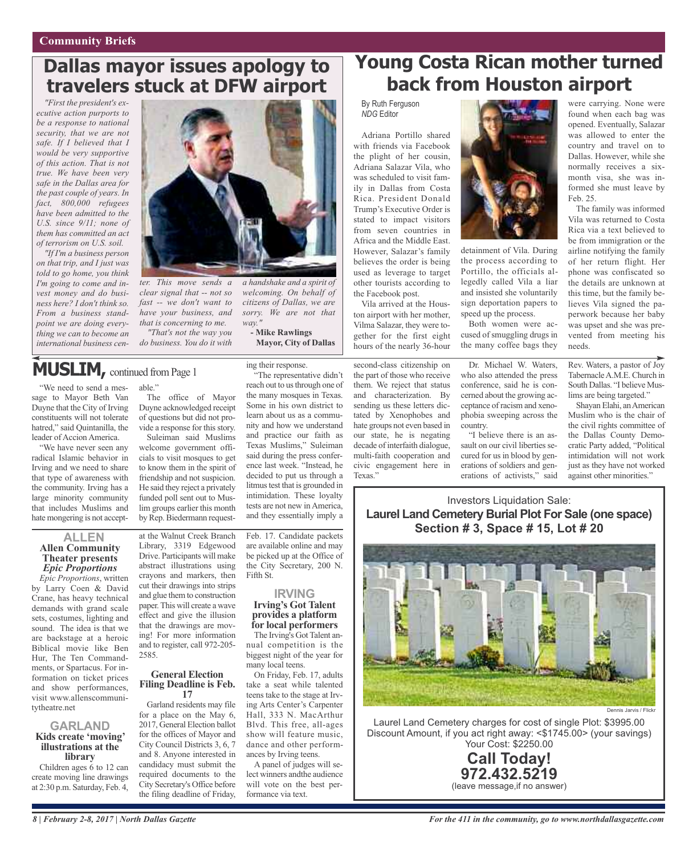## **Dallas mayor issues apology to travelers stuck at DFW airport**

*"First the president's executive action purports to be a response to national security, that we are not safe. If I believed that I would be very supportive of this action. That is not true. We have been very safe in the Dallas area for the past couple of years. In fact, 800,000 refugees have been admitted to the U.S. since 9/11; none of them has committed an act of terrorism on U.S. soil.*

*"If I'm a business person on that trip, and I just was told to go home, you think I'm going to come and invest money and do business here? I don't think so. From a business standpoint we are doing everything we can to become an international business cen-*



*ter. This move sends a clear signal that -- not so fast -- we don't want to have your business, and that is concerning to me.*

*"That's not the way you do business. You do it with*

## MUSLIM, continued from Page 1

"We need to send a message to Mayor Beth Van Duyne that the City of Irving constituents will not tolerate hatred," said Quintanilla, the leader of Accion America.

"We have never seen any radical Islamic behavior in Irving and we need to share that type of awareness with the community. Irving has a large minority community that includes Muslims and hate mongering is not accept-

#### **ALLEN Allen Community Theater presents** *Epic Proportions*

*Epic Proportions*, written by Larry Coen & David Crane, has heavy technical demands with grand scale sets, costumes, lighting and sound. The idea is that we are backstage at a heroic Biblical movie like Ben Hur, The Ten Commandments, or Spartacus. For information on ticket prices and show performances, visit www.allenscommunitytheatre.net

## **GARLAND Kids create 'moving' illustrations at the library**

Children ages 6 to 12 can create moving line drawings at 2:30 p.m. Saturday, Feb. 4,

able." The office of Mayor Duyne acknowledged receipt of questions but did not provide a response for this story.

Suleiman said Muslims welcome government officials to visit mosques to get to know them in the spirit of friendship and not suspicion. He said they reject a privately funded poll sent out to Muslim groups earlier this month by Rep. Biedermann request-

at the Walnut Creek Branch Library, 3319 Edgewood Drive. Participants will make abstract illustrations using crayons and markers, then cut their drawings into strips and glue them to construction paper.This will create a wave effect and give the illusion that the drawings are moving! For more information and to register, call 972-205- 2585.

## **General Election Filing Deadline is Feb. <sup>17</sup>**

Garland residents may file for a place on the May 6, 2017, General Election ballot for the offices of Mayor and City Council Districts 3, 6, 7 and 8. Anyone interested in candidacy must submit the required documents to the City Secretary's Office before the filing deadline of Friday,

*a handshake and a spirit of welcoming. On behalf of citizens of Dallas, we are sorry. We are not that way."* **- Mike Rawlings**

**Mayor, City of Dallas**

ing their response.

"The representative didn't reach out to us through one of the many mosques in Texas. Some in his own district to learn about us as a community and how we understand and practice our faith as Texas Muslims," Suleiman said during the press conference last week. "Instead, he decided to put us through a litmus test that is grounded in intimidation. These loyalty tests are not new in America, and they essentially imply a

Feb. 17. Candidate packets are available online and may be picked up at the Office of the City Secretary, 200 N. Fifth St.

#### **IRVING Irving's Got Talent provides a platform for local performers**

The Irving's Got Talent annual competition is the biggest night of the year for many local teens.

On Friday, Feb. 17, adults take a seat while talented teens take to the stage at Irving Arts Center's Carpenter Hall, 333 N. MacArthur Blvd. This free, all-ages show will feature music, dance and other performances by Irving teens.

A panel of judges will select winners andthe audience will vote on the best performance via text.

## **Young Costa Rican mother turned back from Houston airport**

By Ruth Ferguson *NDG* Editor

Adriana Portillo shared with friends via Facebook the plight of her cousin, Adriana Salazar Vila, who was scheduled to visit family in Dallas from Costa Rica. President Donald Trump's Executive Order is stated to impact visitors from seven countries in Africa and the Middle East. However, Salazar's family believes the order is being used as leverage to target other tourists according to the Facebook post.

Vila arrived at the Houston airport with her mother, Vilma Salazar, they were together for the first eight hours of the nearly 36-hour

second-class citizenship on the part of those who receive them. We reject that status and characterization. By sending us these letters dictated by Xenophobes and hate groups not even based in our state, he is negating decade of interfaith dialogue, multi-faith cooperation and civic engagement here in Texas."



detainment of Vila. During the process according to Portillo, the officials allegedly called Vila a liar and insisted she voluntarily sign deportation papers to speed up the process.

Both women were accused of smuggling drugs in the many coffee bags they

Dr. Michael W. Waters, who also attended the press conference, said he is concerned about the growing acceptance of racism and xenophobia sweeping across the country.

"I believe there is an assault on our civil liberties secured for us in blood by generations of soldiers and generations of activists," said

were carrying. None were found when each bag was opened. Eventually, Salazar was allowed to enter the country and travel on to Dallas. However, while she normally receives a sixmonth visa, she was informed she must leave by Feb. 25.

The family was informed Vila was returned to Costa Rica via a text believed to be from immigration or the airline notifying the family of her return flight. Her phone was confiscated so the details are unknown at this time, but the family believes Vila signed the paperwork because her baby was upset and she was prevented from meeting his needs.

Rev. Waters, a pastor of Joy TabernacleA.M.E. Church in South Dallas. "I believe Muslims are being targeted."

Shayan Elahi, anAmerican Muslim who is the chair of the civil rights committee of the Dallas County Democratic Party added, "Political intimidation will not work just as they have not worked against other minorities."

## Investors Liquidation Sale: **Laurel Land Cemetery Burial Plot For Sale (one space) Section # 3, Space # 15, Lot # 20**



Laurel Land Cemetery charges for cost of single Plot: \$3995.00 Discount Amount, if you act right away: <\$1745.00> (your savings) Your Cost: \$2250.00



(leave message,if no answer)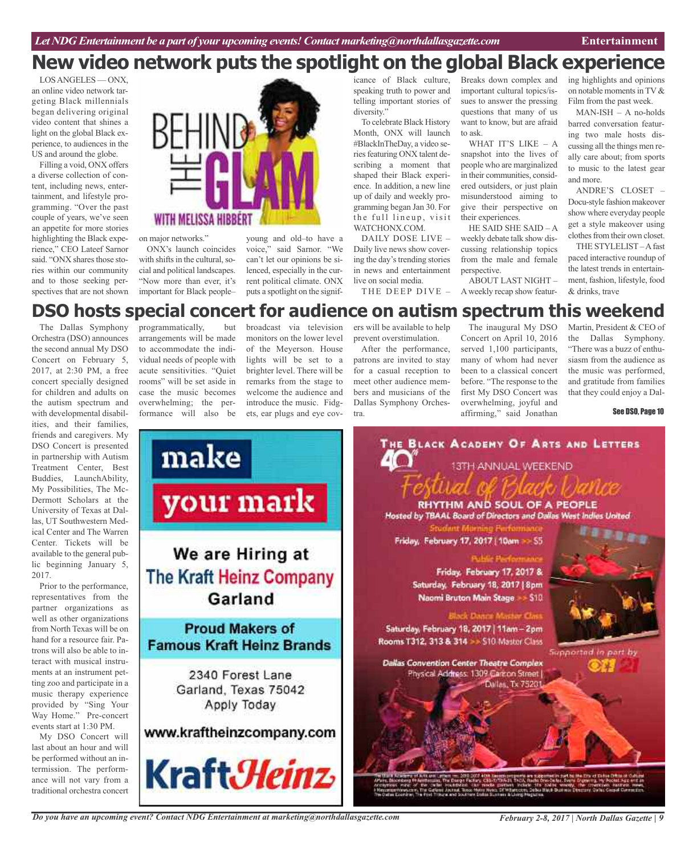LOSANGELES — ONX, an online video network targeting Black millennials began delivering original video content that shines a light on the global Black experience, to audiences in the US and around the globe.

Filling a void, ONX offers a diverse collection of content, including news, entertainment, and lifestyle programming. "Over the past couple of years, we've seen an appetite for more stories highlighting the Black experience," CEO Lateef Sarnor said. "ONX shares those stories within our community and to those seeking perspectives that are not shown



on major networks."

ONX's launch coincides with shifts in the cultural, social and political landscapes. "Now more than ever, it's important for Black people–

young and old–to have a voice," said Sarnor. "We can't let our opinions be silenced, especially in the current political climate. ONX puts a spotlight on the signif-

icance of Black culture, speaking truth to power and telling important stories of diversity."

To celebrate Black History Month, ONX will launch #BlackInTheDay, a video series featuring ONX talent describing a moment that shaped their Black experience. In addition, a new line up of daily and weekly programming began Jan 30. For the full lineup, visit WATCHONX.COM.

DAILY DOSE LIVE – Daily live news show covering the day's trending stories in news and entertainment live on social media.

THE DEEP DIVE -

Breaks down complex and important cultural topics/issues to answer the pressing questions that many of us want to know, but are afraid to ask.

WHAT IT'S LIKE - A snapshot into the lives of people who are marginalized in their communities, considered outsiders, or just plain misunderstood aiming to give their perspective on their experiences.

HE SAID SHE SAID – A weekly debate talk show discussing relationship topics from the male and female perspective.

ABOUT LAST NIGHT – Aweekly recap show featur-

ing highlights and opinions on notable moments in TV  $&$ Film from the past week.

MAN-ISH – A no-holds barred conversation featuring two male hosts discussing all the things men really care about; from sports to music to the latest gear and more.

ANDRE'S CLOSET – Docu-style fashion makeover show where everyday people get a style makeover using clothes from their own closet.

THE STYLELIST –Afast paced interactive roundup of the latest trends in entertainment, fashion, lifestyle, food & drinks, trave

## **DSO hosts special concert for audience on autism spectrum this weekend**

The Dallas Symphony Orchestra (DSO) announces the second annual My DSO Concert on February 5, 2017, at 2:30 PM, a free concert specially designed for children and adults on the autism spectrum and with developmental disabilities, and their families, friends and caregivers. My DSO Concert is presented in partnership with Autism Treatment Center, Best Buddies, LaunchAbility, My Possibilities, The Mc-Dermott Scholars at the University of Texas at Dallas, UT Southwestern Medical Center and The Warren Center. Tickets will be available to the general public beginning January 5, 2017.

Prior to the performance, representatives from the partner organizations as well as other organizations from North Texas will be on hand for a resource fair. Patrons will also be able to interact with musical instruments at an instrument petting zoo and participate in a music therapy experience provided by "Sing Your Way Home." Pre-concert events start at 1:30 PM.

My DSO Concert will last about an hour and will be performed without an intermission. The performance will not vary from a traditional orchestra concert

programmatically, but arrangements will be made to accommodate the individual needs of people with acute sensitivities. "Quiet rooms" will be set aside in case the music becomes overwhelming; the performance will also be

broadcast via television monitors on the lower level of the Meyerson. House lights will be set to a brighter level. There will be remarks from the stage to welcome the audience and introduce the music. Fidgets, ear plugs and eye cov-

ers will be available to help prevent overstimulation.

After the performance, patrons are invited to stay for a casual reception to meet other audience members and musicians of the Dallas Symphony Orchestra.

The inaugural My DSO Concert on April 10, 2016 served 1,100 participants, many of whom had never been to a classical concert before. "The response to the first My DSO Concert was overwhelming, joyful and affirming," said Jonathan

Martin, President & CEO of the Dallas Symphony. "There was a buzz of enthusiasm from the audience as the music was performed, and gratitude from families that they could enjoy a Dal-

See DSO, Page 10



*Do you have an upcoming event? Contact NDG Entertainment at marketing@northdallasgazette.com*

*February 2-8, 2017 | North Dallas Gazette | 9*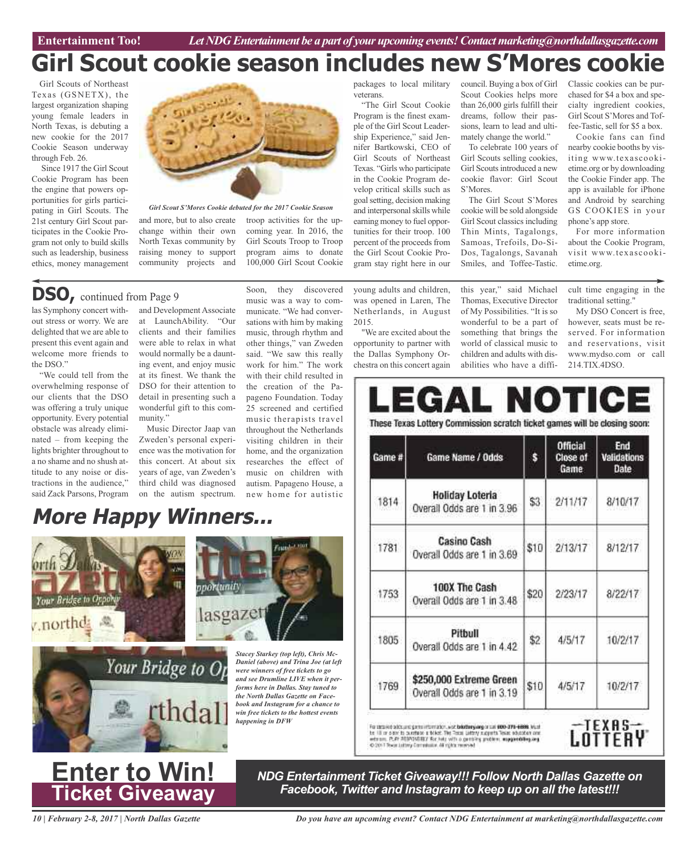## **Girl Scout cookie season includes new S'Mores cookie**

Girl Scouts of Northeast Texas (GSNETX), the largest organization shaping young female leaders in North Texas, is debuting a new cookie for the 2017 Cookie Season underway through Feb. 26.

Since 1917 the Girl Scout Cookie Program has been the engine that powers opportunities for girls participating in Girl Scouts. The 21st century Girl Scout participates in the Cookie Program not only to build skills such as leadership, business ethics, money management



*Girl Scout S'Mores Cookie debuted for the 2017 Cookie Season*

and more, but to also create troop activities for the upchange within their own North Texas community by raising money to support community projects and

## **DSO,** continued from Page <sup>9</sup>

las Symphony concert without stress or worry. We are delighted that we are able to present this event again and welcome more friends to the DSO."

"We could tell from the overwhelming response of our clients that the DSO was offering a truly unique opportunity. Every potential obstacle was already eliminated – from keeping the lights brighter throughout to a no shame and no shush attitude to any noise or distractions in the audience," said Zack Parsons, Program

Your Bridge to Of

 $\tau$  northds

and Development Associate at LaunchAbility. "Our clients and their families were able to relax in what would normally be a daunting event, and enjoy music at its finest. We thank the DSO for their attention to detail in presenting such a wonderful gift to this community."

Music Director Jaap van Zweden's personal experience was the motivation for this concert. At about six years of age, van Zweden's third child was diagnosed on the autism spectrum.

nnortunity

lasgazet

**More Happy Winners...**

Your Bridge to On

Soon, they discovered music was a way to communicate. "We had conversations with him by making music, through rhythm and other things," van Zweden said. "We saw this really work for him." The work with their child resulted in the creation of the Papageno Foundation. Today 25 screened and certified music therapists travel throughout the Netherlands visiting children in their home, and the organization researches the effect of music on children with autism. Papageno House, a new home for autistic

coming year. In 2016, the Girl Scouts Troop to Troop program aims to donate 100,000 Girl Scout Cookie

*Stacey Starkey (top left), Chris Mc-Daniel (above) and Trina Joe (at left were winners of free tickets to go and see Drumline LIVE when it performs here in Dallas. Stay tuned to the North Dallas Gazette on Facebook and Instagram for a chance to win free tickets to the hottest events*

*happening in DFW*

#### packages to local military veterans.

"The Girl Scout Cookie Program is the finest example of the Girl Scout Leadership Experience," said Jennifer Bartkowski, CEO of Girl Scouts of Northeast Texas. "Girls who participate in the Cookie Program develop critical skills such as goalsetting, decision making and interpersonal skills while earning money to fuel opportunities for their troop. 100 percent of the proceeds from the Girl Scout Cookie Program stay right here in our

young adults and children, was opened in Laren, The Netherlands, in August

2015. "We are excited about the opportunity to partner with the Dallas Symphony Orchestra on this concert again

this year," said Michael Thomas, Executive Director of My Possibilities. "It is so wonderful to be a part of something that brings the world of classical music to children and adults with disabilities who have a diffi-

The Girl Scout S'Mores cookie will be sold alongside Girl Scout classics including Thin Mints, Tagalongs, Samoas, Trefoils, Do-Si-Dos, Tagalongs, Savanah Smiles, and Toffee-Tastic.

council. Buying a box of Girl Scout Cookies helps more than 26,000 girls fulfill their dreams, follow their passions, learn to lead and ultimately change the world." To celebrate 100 years of Girl Scouts selling cookies, Girl Scouts introduced a new cookie flavor: Girl Scout

S'Mores.

Classic cookies can be purchased for \$4 a box and specialty ingredient cookies, Girl Scout S'Mores and Toffee-Tastic, sell for \$5 a box.

Cookie fans can find nearby cookie booths by visiting www.texascookietime.org or by downloading the Cookie Finder app. The app is available for iPhone and Android by searching GS COOKIES in your phone's app store.

For more information about the Cookie Program, visit www.texascookietime.org.

cult time engaging in the traditional setting."

My DSO Concert is free, however, seats must be reserved. For information and reservations, visit www.mydso.com or call 214.TIX.4DSO.

# These Texas Lottery Commission scratch ticket games will be closing soon:

| Game # | Game Name / Odds                                      | \$   | <b>Official</b><br>Close of<br>Game | End<br>Validations<br>Date |
|--------|-------------------------------------------------------|------|-------------------------------------|----------------------------|
| 1814   | <b>Holiday Loteria</b><br>Overall Odds are 1 in 3.96  | \$3  | 2/11/17                             | 8/10/17                    |
| 1781   | <b>Casino Cash</b><br>Overall Odds are 1 in 3.69      | \$10 | 2/13/17                             | 8/12/17                    |
| 1753   | 100X The Cash<br>Overall Odds are 1 in 3.48           | \$20 | 2/23/17                             | 8/22/17                    |
| 1805   | Pitbull<br>Overall Odds are 1 in 4.42                 | \$2  | 4/5/17                              | 10/2/17                    |
| 1769   | \$250,000 Extreme Green<br>Overall Odds are 1 in 3.19 | \$10 | 4/5/17                              | 10/2/17                    |

The conservation of the Conservation of the County of the conservation of the County of the County of the County of the County of the County of the county of the county of the county of the county of the county of the coun



## **Enter to Win! Ticket Giveaway**

*NDG Entertainment Ticket Giveaway!!! Follow North Dallas Gazette on Facebook, Twitter and Instagram to keep up on all the latest!!!*

*10 | February 2-8, 2017 | North Dallas Gazette*

*Do you have an upcoming event? Contact NDG Entertainment at marketing@northdallasgazette.com*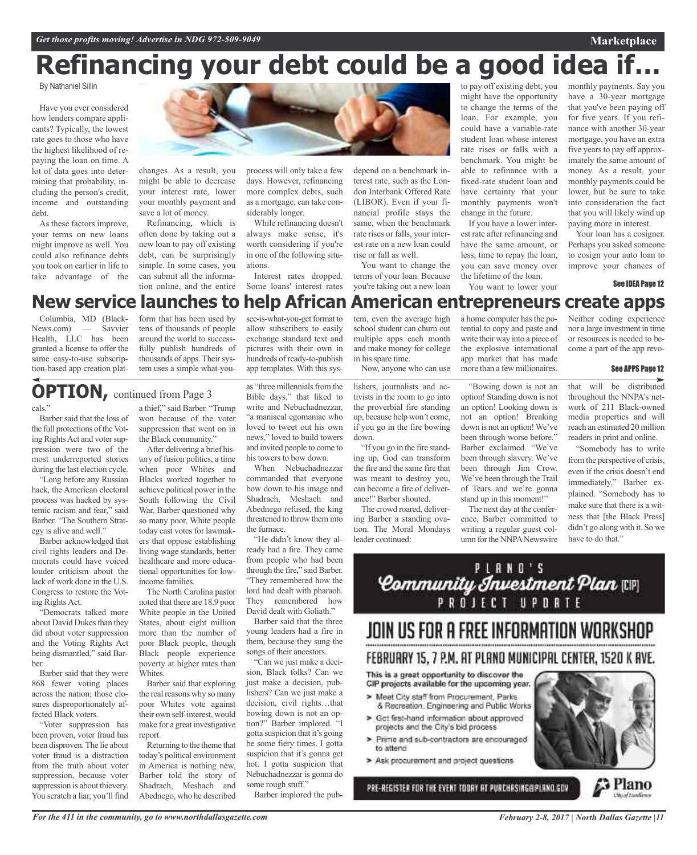## **Refinancing your debt could be a good idea if…**

By Nathaniel Sillin

Have you ever considered how lenders compare applicants? Typically, the lowest rate goes to those who have the highest likelihood of repaying the loan on time. A lot of data goes into determining that probability, including the person's credit, income and outstanding debt.

As these factors improve, your terms on new loans might improve as well. You could also refinance debts you took on earlier in life to take advantage of the



changes. As a result, you might be able to decrease your interest rate, lower your monthly payment and save a lot of money.

Refinancing, which is often done by taking out a new loan to pay off existing debt, can be surprisingly simple. In some cases, you can submit all the information online, and the entire

process will only take a few days. However, refinancing more complex debts, such as a mortgage, can take considerably longer.

While refinancing doesn't always make sense, it's worth considering if you're in one of the following situations.

Interest rates dropped. Some loans' interest rates

see-is-what-you-get format to allow subscribers to easily exchange standard text and pictures with their own in depend on a benchmark interest rate, such as the London Interbank Offered Rate (LIBOR). Even if your financial profile stays the same, when the benchmark rate rises or falls, your interest rate on a new loan could rise or fall as well.

You want to change the terms of your loan. Because you're taking out a new loan

to pay off existing debt, you might have the opportunity to change the terms of the loan. For example, you could have a variable-rate student loan whose interest rate rises or falls with a benchmark. You might be able to refinance with a fixed-rate student loan and have certainty that your monthly payments won't change in the future.

If you have a lower interest rate after refinancing and have the same amount, or less, time to repay the loan, you can save money over the lifetime of the loan. You want to lower your

monthly payments. Say you have a 30-year mortgage that you've been paying off for five years. If you refinance with another 30-year mortgage, you have an extra five years to pay off approximately the same amount of money. As a result, your monthly payments could be lower, but be sure to take into consideration the fact that you will likely wind up paying more in interest.

**Marketplace**

Your loan has a cosigner. Perhaps you asked someone to cosign your auto loan to improve your chances of

See IDEA Page 12

## **New service launches to help African American entrepreneurs create apps**

Columbia, MD (Black-News.com) — Savvier Health, LLC has been granted a license to offer the same easy-to-use subscription-based app creation plat-

form that has been used by tens of thousands of people around the world to successfully publish hundreds of thousands of apps. Their system uses a simple what-you-

## **OPTION**, continued from Page 3

cals."

Barber said that the loss of the full protections of the Voting Rights Act and voter suppression were two of the most underreported stories during the last election cycle.

"Long before any Russian hack, the American electoral process was hacked by systemic racism and fear," said Barber. "The Southern Strategy is alive and well."

Barber acknowledged that civil rights leaders and Democrats could have voiced louder criticism about the lack of work done in the U.S. Congress to restore the Voting Rights Act.

"Democrats talked more about David Dukes than they did about voter suppression and the Voting Rights Act being dismantled," said Barber.

Barber said that they were 868 fewer voting places across the nation; those closures disproportionately affected Black voters.

"Voter suppression has been proven, voter fraud has been disproven.The lie about voter fraud is a distraction from the truth about voter suppression, because voter suppression is about thievery. You scratch a liar, you'll find

a thief," said Barber. "Trump won because of the voter suppression that went on in the Black community."

After delivering a brief history of fusion politics, a time when poor Whites and Blacks worked together to achieve political power in the South following the Civil War, Barber questioned why so many poor, White people today cast votes for lawmakers that oppose establishing living wage standards, better healthcare and more educational opportunities for lowincome families.

The North Carolina pastor noted that there are 18.9 poor White people in the United States, about eight million more than the number of poor Black people, though Black people experience poverty at higher rates than Whites.

Barber said that exploring the real reasons why so many poor Whites vote against their own self-interest, would make for a great investigative report.

Returning to the theme that today's political environment in America is nothing new, Barber told the story of Shadrach, Meshach and Abednego, who he described

as "three millennials from the Bible days," that liked to write and Nebuchadnezzar, "a maniacal egomaniac who hundreds of ready-to-publish app templates. With this sys-

loved to tweet out his own news," loved to build towers and invited people to come to his towers to bow down.

When Nebuchadnezzar commanded that everyone bow down to his image and Shadrach, Meshach and Abednego refused, the king threatened to throw them into the furnace.

"He didn't know they already had a fire. They came from people who had been through the fire," said Barber. "They remembered how the lord had dealt with pharaoh. They remembered how David dealt with Goliath."

Barber said that the three young leaders had a fire in them, because they sung the songs of their ancestors.

"Can we just make a decision, Black folks? Can we just make a decision, publishers? Can we just make a decision, civil rights…that bowing down is not an option?" Barber implored. "I gotta suspicion that it's going be some fiery times. I gotta suspicion that it's gonna get hot. I gotta suspicion that Nebuchadnezzar is gonna do some rough stuff."

Barber implored the pub-

tem, even the average high school student can churn out multiple apps each month and make money for college in his spare time.

Now, anyone who can use

lishers, journalists and activists in the room to go into the proverbial fire standing up, because help won't come, if you go in the fire bowing down.

"If you go in the fire standing up, God can transform the fire and the same fire that was meant to destroy you, can become a fire of deliverance!" Barber shouted.

The crowd roared, delivering Barber a standing ovation. The Moral Mondays leader continued:

a home computer has the potential to copy and paste and write their way into a piece of the explosive international app market that has made more than a few millionaires.

"Bowing down is not an option! Standing down is not an option! Looking down is not an option! Breaking down is not an option! We've been through worse before." Barber exclaimed. "We've been through slavery. We've been through Jim Crow. We've been through the Trail of Tears and we're gonna stand up in this moment!"

The next day at the conference, Barber committed to writing a regular guest column for the NNPA Newswire

Neither coding experience nor a large investment in time or resources is needed to become a part of the app revo-

#### See APPS Page 12

that will be distributed throughout the NNPA's network of 211 Black-owned media properties and will reach an estimated 20 million readers in print and online.

"Somebody has to write from the perspective of crisis, even if the crisis doesn't end immediately," Barber explained. "Somebody has to make sure that there is a witness that [the Black Press] didn't go along with it. So we have to do that."



## JOIN US FOR A FREE INFORMATION WORKSHOP FEBRUARY 15, 7 P.M. AT PLANO MUNICIPAL CENTER, 1520 K AVE.

## This is a great opportunity to discover the CIP projects available for the upcoming year.

- > Meet City staff from Procurement, Parks & Recreation, Engineering and Public Works
- > Get first-hand information about approved projects and the City's bid process.
- > Prime and sub-contractors are encouraged to attend
- > Ask procurement and project questions

PRE-REGISTER FOR THE EVENT TODAY AT PURCHASING@PLANO.GOV



G Plano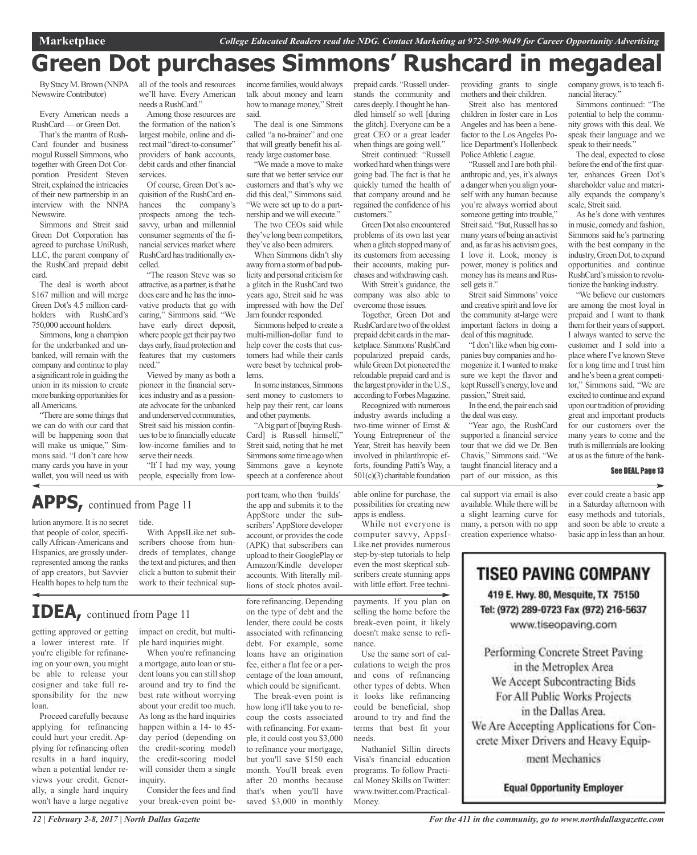## **Green Dot purchases Simmons' Rushcard in megadeal**

ByStacyM.Brown (NNPA all of the tools and resources Newswire Contributor)

Every American needs a RushCard — or Green Dot.

That's the mantra of Rush-Card founder and business mogul Russell Simmons, who together with Green Dot Corporation President Steven Streit, explained the intricacies of their new partnership in an interview with the NNPA Newswire.

Simmons and Streit said Green Dot Corporation has agreed to purchase UniRush, LLC, the parent company of the RushCard prepaid debit card.

The deal is worth about \$167 million and will merge Green Dot's 4.5 million cardholders with RushCard's 750,000 account holders.

Simmons, long a champion for the underbanked and unbanked, will remain with the company and continue to play a significant role in guiding the union in its mission to create more banking opportunities for allAmericans.

"There are some things that we can do with our card that will be happening soon that will make us unique," Simmons said. "I don't care how many cards you have in your wallet, you will need us with

we'll have. Every American needs a RushCard."

> Among those resources are the formation of the nation's largest mobile, online and direct mail "direct-to-consumer" providers of bank accounts, debit cards and other financial services.

> Of course, Green Dot's acquisition of the RushCard enhances the company's prospects among the techsavvy, urban and millennial consumer segments of the financial services market where RushCard hastraditionally excelled.

"The reason Steve was so attractive, as a partner, is that he does care and he has the innovative products that go with caring," Simmons said. "We have early direct deposit, where people get their pay two days early, fraud protection and features that my customers need."

Viewed by many as both a pioneer in the financial services industry and as a passionate advocate for the unbanked and underserved communities, Streit said his mission continuesto be to financially educate low-income families and to serve their needs.

"If I had my way, young people, especially from low-

## **APPS,** continued from Page <sup>11</sup>

lution anymore. It is no secret that people of color, specificallyAfrican-Americans and Hispanics, are grossly underrepresented among the ranks of app creators, but Savvier Health hopes to help turn the

tide.

With AppsILike.net subscribers choose from hundreds of templates, change the text and pictures, and then click a button to submit their work to their technical sup-

## **IDEA,** continued from Page <sup>11</sup>

getting approved or getting a lower interest rate. If you're eligible for refinancing on your own, you might be able to release your cosigner and take full responsibility for the new loan.

Proceed carefully because applying for refinancing could hurt your credit. Applying for refinancing often results in a hard inquiry, when a potential lender reviews your credit. Generally, a single hard inquiry won't have a large negative impact on credit, but multiple hard inquiries might.

When you're refinancing a mortgage, auto loan or student loans you can still shop around and try to find the best rate without worrying about your credit too much. As long as the hard inquiries happen within a 14- to 45 day period (depending on the credit-scoring model) the credit-scoring model will consider them a single inquiry.

Consider the fees and find your break-even point beincome families,wouldalways talk about money and learn how to manage money," Streit said.

The deal is one Simmons called "a no-brainer" and one that will greatly benefit his already large customer base.

"We made a move to make sure that we better service our customers and that's why we did this deal," Simmons said. "We were set up to do a partnership and we will execute."

The two CEOs said while they've long been competitors, they've also been admirers.

When Simmons didn't shy away froma stormof bad publicity and personal criticism for a glitch in the RushCard two years ago, Streit said he was impressed with how the Def Jam founder responded.

Simmons helped to create a multi-million-dollar fund to help cover the costs that customers had while their cards were beset by technical problems.

Insome instances,Simmons sent money to customers to help pay their rent, car loans and other payments.

"A big part of [buying Rush-Card] is Russell himself," Streit said, noting that he met Simmons some time ago when Simmons gave a keynote speech at a conference about

port team, who then 'builds' the app and submits it to the AppStore under the subscribers'AppStore developer account, or provides the code (APK) that subscribers can upload to their GooglePlay or Amazon/Kindle developer accounts. With literally millions of stock photos avail-

fore refinancing. Depending on the type of debt and the lender, there could be costs associated with refinancing debt. For example, some loans have an origination fee, either a flat fee or a percentage of the loan amount, which could be significant. The break-even point is how long it'll take you to recoup the costs associated with refinancing. For example, it could cost you \$3,000 to refinance your mortgage, but you'll save \$150 each month. You'll break even after 20 months because that's when you'll have saved \$3,000 in monthly

prepaid cards. "Russell understands the community and cares deeply. I thought he handled himself so well [during the glitch]. Everyone can be a great CEO or a great leader when things are going well."

Streit continued: "Russell worked hard when things were going bad. The fact is that he quickly turned the health of that company around and he regained the confidence of his customers."

GreenDot also encountered problems of its own last year when a glitch stopped many of its customers from accessing their accounts, making purchases and withdrawing cash.

With Streit's guidance, the company was also able to overcome those issues.

Together, Green Dot and RushCard are two of the oldest prepaid debit cards in the marketplace.Simmons'RushCard popularized prepaid cards, while Green Dot pioneered the reloadable prepaid card and is the largest provider in the U.S., according to Forbes Magazine.

Recognized with numerous industry awards including a two-time winner of Ernst & Young Entrepreneur of the Year, Streit has heavily been involved in philanthropic efforts, founding Patti's Way, a 501(c)(3) charitable foundation

able online for purchase, the possibilities for creating new apps is endless.

While not everyone is computer savvy, AppsI-Like.net provides numerous step-by-step tutorials to help even the most skeptical subscribers create stunning apps with little effort. Free techni-

payments. If you plan on selling the home before the break-even point, it likely doesn't make sense to refinance.

Use the same sort of calculations to weigh the pros and cons of refinancing other types of debts. When it looks like refinancing could be beneficial, shop around to try and find the terms that best fit your needs.

Nathaniel Sillin directs Visa's financial education programs. To follow Practical Money Skills on Twitter: www.twitter.com/Practical-Money.

providing grants to single mothers and their children.

Streit also has mentored children in foster care in Los Angeles and has been a benefactor to the Los Angeles Police Department's Hollenbeck Police Athletic League.

"Russell and I are both philanthropic and, yes, it's always a dangerwhen you align yourself with any human because you're always worried about someone getting into trouble," Streit said. "But, Russell has so many years of being an activist and, as far as his activism goes, I love it. Look, money is power, money is politics and money has its means and Russell gets it."

Streit said Simmons' voice and creative spirit and love for the community at-large were important factors in doing a deal of this magnitude.

"I don't like when big companies buy companies and homogenize it. I wanted to make sure we kept the flavor and kept Russell's energy, love and passion," Streit said.

In the end, the pair each said the deal was easy.

"Year ago, the RushCard supported a financial service tour that we did we Dr. Ben Chavis," Simmons said. "We taught financial literacy and a part of our mission, as this

cal support via email is also available.While there will be a slight learning curve for many, a person with no app creation experience whatso-

company grows, is to teach financial literacy." Simmons continued: "The

potential to help the community grows with this deal. We speak their language and we speak to their needs."

The deal, expected to close before the end of the first quarter, enhances Green Dot's shareholder value and materially expands the company's scale, Streit said.

As he's done with ventures in music, comedy and fashion, Simmons said he's partnering with the best company in the industry, Green Dot, to expand opportunities and continue RushCard's mission to revolutionize the banking industry.

"We believe our customers are among the most loyal in prepaid and I want to thank them for their years of support. I always wanted to serve the customer and I sold into a place where I've known Steve for a long time and I trust him and he's been a great competitor," Simmons said. "We are excited to continue and expand upon our tradition of providing great and important products for our customers over the many years to come and the truth is millennials are looking at us asthe future of the bank-

#### See DEAL, Page 13

ever could create a basic app in a Saturday afternoon with easy methods and tutorials, and soon be able to create a basic app in lessthan an hour.

TISEO PAVING COMPANY

419 E. Hwy. 80, Mesquite, TX 75150 Tel: (972) 289-0723 Fax (972) 216-5637 www.tiseopaving.com

Performing Concrete Street Paving in the Metroplex Area We Accept Subcontracting Bids For All Public Works Projects in the Dallas Area. We Are Accepting Applications for Concrete Mixer Drivers and Heavy Equip-

ment Mechanics

**Equal Opportunity Employer**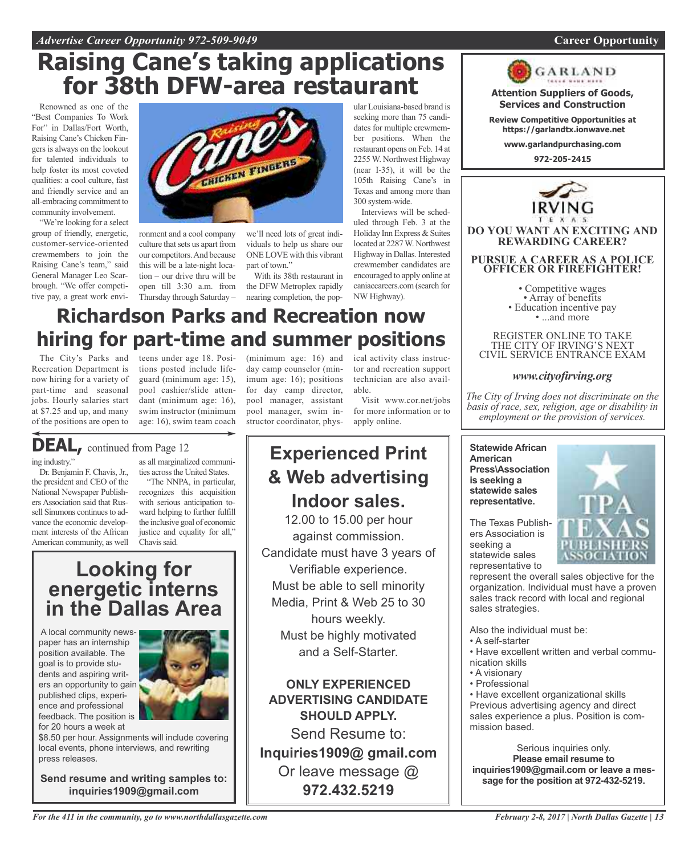## **Raising Cane's taking applications for 38th DFW-area restaurant**

Renowned as one of the "Best Companies To Work For" in Dallas/Fort Worth, Raising Cane's Chicken Fingers is always on the lookout for talented individuals to help foster its most coveted qualities: a cool culture, fast and friendly service and an all-embracing commitment to community involvement.

"We're looking for a select group of friendly, energetic, customer-service-oriented crewmembers to join the Raising Cane's team," said General Manager Leo Scarbrough. "We offer competitive pay, a great work envi-



ronment and a cool company culture that sets us apart from our competitors.And because this will be a late-night location – our drive thru will be open till 3:30 a.m. from the DFW Metroplex rapidly Thursday through Saturday –

we'll need lots of great individuals to help us share our ONE LOVE with this vibrant part of town."

With its 38th restaurant in nearing completion, the pop-

ular Louisiana-based brand is seeking more than 75 candidates for multiple crewmember positions. When the restaurant opens on Feb. 14 at 2255 W. Northwest Highway (near I-35), it will be the 105th Raising Cane's in Texas and among more than 300 system-wide.

Interviews will be scheduled through Feb. 3 at the Holiday Inn Express & Suites located at 2287W. Northwest Highway in Dallas. Interested crewmember candidates are encouraged to apply online at caniaccareers.com (search for NW Highway).

## **Richardson Parks and Recreation now hiring for part-time and summer positions**

Recreation Department is now hiring for a variety of part-time and seasonal jobs. Hourly salaries start at \$7.25 and up, and many of the positions are open to

Dr. Benjamin F. Chavis, Jr., the president and CEO of the National Newspaper Publishers Association said that Russell Simmons continues to advance the economic development interests of the African American community, as well

ing industry.'

**DEAL,** continued from Page <sup>12</sup>

The City's Parks and teens under age 18. Posi-(minimum age: 16) and tions posted include lifeguard (minimum age: 15), pool cashier/slide attendant (minimum age: 16), swim instructor (minimum age: 16), swim team coach

> as all marginalized communities across the United States. "The NNPA, in particular, recognizes this acquisition with serious anticipation toward helping to further fulfill the inclusive goal of economic justice and equality for all,"

day camp counselor (minimum age: 16); positions for day camp director, pool manager, assistant pool manager, swim instructor coordinator, phys-

ical activity class instructor and recreation support technician are also available.

Visit www.cor.net/jobs for more information or to apply online.

## **Experienced Print & Web advertising Indoor sales.**

12.00 to 15.00 per hour against commission. Candidate must have 3 years of Verifiable experience. Must be able to sell minority Media, Print & Web 25 to 30 hours weekly. Must be highly motivated and a Self-Starter.

**ONLY EXPERIENCED ADVERTISING CANDIDATE SHOULD APPLY.**

Send Resume to: **Inquiries1909@ gmail.com** Or leave message @ **972.432.5219**



**Services and Construction**

**Review Competitive Opportunities at https://garlandtx.ionwave.net**

**www.garlandpurchasing.com**

**972-205-2415**



**DO YOU WANT AN EXCITING AND REWARDING CAREER?**

**PURSUE A CAREER AS A POLICE OFFICER OR FIREFIGHTER!**

• Competitive wages<br>• Array of benefits<br>• Education incentive pay<br>• ...and more

REGISTER ONLINE TO TAKE THE CITY OF IRVING'S NEXT CIVIL SERVICE ENTRANCE EXAM

## *www.cityofirving.org*

*The City of Irving does not discriminate on the basis of race, sex, religion, age or disability in employment or the provision of services.*

**Statewide African American Press\Association is seeking a statewide sales representative.**

The Texas Publishers Association is seeking a statewide sales representative to



represent the overall sales objective for the organization. Individual must have a proven sales track record with local and regional sales strategies.

Also the individual must be:

- A self-starter
- Have excellent written and verbal communication skills
- A visionary
- Professional

• Have excellent organizational skills Previous advertising agency and direct sales experience a plus. Position is commission based.

Serious inquiries only. **Please email resume to inquiries1909@gmail.com or leave a message for the position at 972-432-5219.**

## **energetic interns in the Dallas Area**

Chavis said.

**Looking for**

A local community newspaper has an internship position available. The goal is to provide students and aspiring writers an opportunity to gain published clips, experience and professional feedback. The position is for 20 hours a week at



\$8.50 per hour. Assignments will include covering local events, phone interviews, and rewriting press releases.

**Send resume and writing samples to: inquiries1909@gmail.com**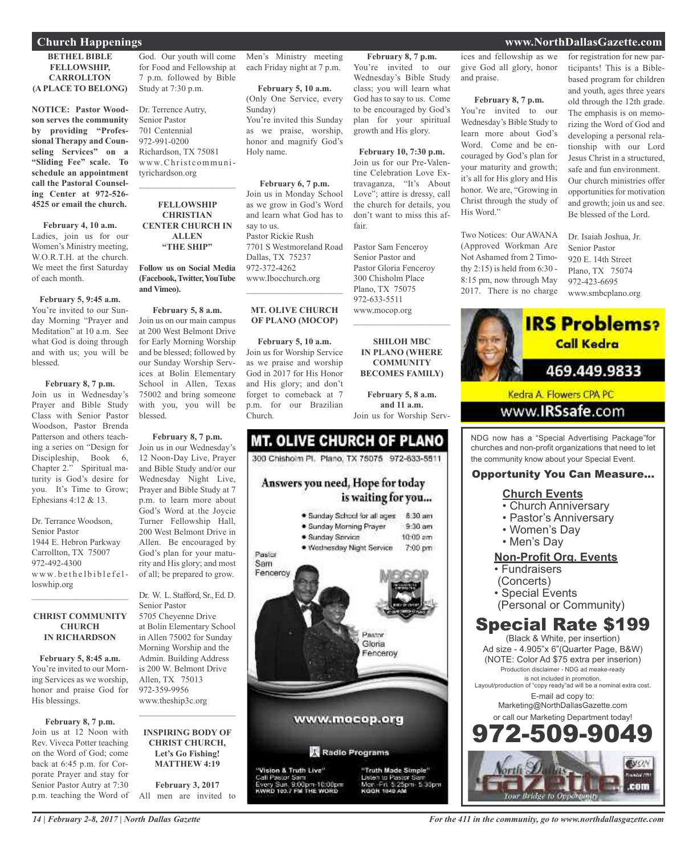#### **BETHEL BIBLE FELLOWSHIP, CARROLLTON (A PLACE TO BELONG)**

**NOTICE: Pastor Woodson serves the community by providing "Professional Therapy and Counseling Services" on a "Sliding Fee" scale. To schedule an appointment call the Pastoral Counseling Center at 972-526- 4525 or email the church.**

#### **February 4, 10 a.m.**

Ladies, join us for our Women's Ministry meeting, W.O.R.T.H. at the church. We meet the first Saturday of each month.

#### **February 5, 9:45 a.m.**

You're invited to our Sunday Morning "Prayer and Meditation" at 10 a.m. See what God is doing through and with us; you will be blessed.

#### **February 8, 7 p.m.**

Join us in Wednesday's Prayer and Bible Study Class with Senior Pastor Woodson, Pastor Brenda Patterson and others teaching a series on "Design for Discipleship, Book 6, Chapter 2." Spiritual maturity is God's desire for you. It's Time to Grow; Ephesians 4:12 & 13.

Dr. Terrance Woodson, Senior Pastor 1944 E. Hebron Parkway Carrollton, TX 75007 972-492-4300  $ww.$  be the l b i b l e f e l loswhip.org

#### **CHRIST COMMUNITY CHURCH IN RICHARDSON**

 $\mathcal{L}_\text{max}$  and  $\mathcal{L}_\text{max}$  and  $\mathcal{L}_\text{max}$ 

**February 5, 8:45 a.m.** You're invited to our Morning Services as we worship, honor and praise God for His blessings.

#### **February 8, 7 p.m.** Join us at 12 Noon with Rev. Viveca Potter teaching on the Word of God; come back at 6:45 p.m. for Corporate Prayer and stay for Senior Pastor Autry at 7:30 p.m. teaching the Word of

God. Our youth will come for Food and Fellowship at 7 p.m. followed by Bible Study at 7:30 p.m.

Dr. Terrence Autry, Senior Pastor 701 Centennial 972-991-0200 Richardson, TX 75081 www.Christcommunityrichardson.org

#### **FELLOWSHIP CHRISTIAN CENTER CHURCH IN ALLEN "THE SHIP"**

 $\mathcal{L}_\text{max}$  , which is a set of the set of the set of the set of the set of the set of the set of the set of the set of the set of the set of the set of the set of the set of the set of the set of the set of the set of

#### **Follow us on Social Media (Facebook,Twitter,YouTube and Vimeo).**

**February 5, 8 a.m.** Join us on our main campus at 200 West Belmont Drive for Early Morning Worship and be blessed; followed by our Sunday Worship Services at Bolin Elementary School in Allen, Texas 75002 and bring someone with you, you will be blessed.

#### **February 8, 7 p.m.** Join us in our Wednesday's 12 Noon-Day Live, Prayer and Bible Study and/or our Wednesday Night Live, Prayer and Bible Study at 7 p.m. to learn more about God's Word at the Joycie Turner Fellowship Hall, 200 West Belmont Drive in Allen. Be encouraged by God's plan for your maturity and His glory; and most of all; be prepared to grow.

Dr. W. L. Stafford, Sr., Ed. D. Senior Pastor 5705 Cheyenne Drive at Bolin Elementary School in Allen 75002 for Sunday Morning Worship and the Admin. Building Address is 200 W. Belmont Drive Allen, TX 75013 972-359-9956 www.theship3c.org  $\mathcal{L}_\text{max}$  , which is a set of the set of the set of the set of the set of the set of the set of the set of the set of the set of the set of the set of the set of the set of the set of the set of the set of the set of

#### **INSPIRING BODY OF CHRIST CHURCH, Let's Go Fishing! MATTHEW 4:19**

**February 3, 2017** All men are invited to

Men's Ministry meeting each Friday night at 7 p.m.

**February 5, 10 a.m.** (Only One Service, every Sunday) You're invited this Sunday as we praise, worship, honor and magnify God's Holy name.

### **February 6, 7 p.m.**

Join us in Monday School as we grow in God's Word and learn what God has to say to us. Pastor Rickie Rush 7701 S Westmoreland Road Dallas, TX 75237 972-372-4262 www.Ibocchurch.org

#### **MT. OLIVE CHURCH OF PLANO (MOCOP)**

 $\overline{\phantom{a}}$  , and the set of the set of the set of the set of the set of the set of the set of the set of the set of the set of the set of the set of the set of the set of the set of the set of the set of the set of the s

**February 5, 10 a.m.** Join us for Worship Service as we praise and worship God in 2017 for His Honor and His glory; and don't forget to comeback at 7 p.m. for our Brazilian Church.

## **MT. OLIVE CHURCH OF PLANO** 300 Chishoim Pl. Plano, TX 75075 972-633-5511 Answers you need, Hope for today

is waiting for you... · Sunday School for all ages 8:30 am · Sunday Morning Prayer  $9-30$  am · Sunday Service  $10:00$  am · Wednesday Night Service 7:00 pm



ices and fellowship as we give God all glory, honor and praise.

**February 8, 7 p.m.** You're invited to our Wednesday's Bible Study class; you will learn what God has to say to us. Come to be encouraged by God's plan for your spiritual growth and His glory.

**February 10, 7:30 p.m.** Join us for our Pre-Valentine Celebration Love Extravaganza, "It's About Love"; attire is dressy, call the church for details, you don't want to miss this af-

Pastor Sam Fenceroy Senior Pastor and Pastor Gloria Fenceroy 300 Chisholm Place Plano, TX 75075 972-633-5511 www.mocop.org

 $\mathcal{L}$  , and the set of the set of the set of the set of the set of the set of the set of the set of the set of the set of the set of the set of the set of the set of the set of the set of the set of the set of the set

**SHILOH MBC IN PLANO (WHERE COMMUNITY BECOMES FAMILY)**

**February 5, 8 a.m. and 11 a.m.** Join us for Worship Serv-

5:30pm

KODBE 1040 AB

fair.

#### **February 8, 7 p.m.**

You're invited to our Wednesday's Bible Study to learn more about God's Word. Come and be encouraged by God's plan for your maturity and growth; it's all for His glory and His honor. We are, "Growing in Christ through the study of His Word."

Two Notices: Our AWANA (Approved Workman Are Not Ashamed from 2 Timothy 2:15) is held from 6:30 - 8:15 pm, now through May 2017. There is no charge

for registration for new participants! This is a Biblebased program for children and youth, ages three years old through the 12th grade. The emphasis is on memorizing the Word of God and developing a personal relationship with our Lord Jesus Christ in a structured, safe and fun environment. Our church ministries offer opportunities for motivation and growth; join us and see. Be blessed of the Lord.

Dr. Isaiah Joshua, Jr. Senior Pastor 920 E. 14th Street Plano, TX 75074 972-423-6695 www.smbcplano.org



NDG now has a "Special Advertising Package"for churches and non-profit organizations that need to let the community know about your Special Event.

## Opportunity You Can Measure...

### **Church Events**

- Church Anniversary
- Pastor's Anniversary
- Women's Day
- Men's Day

## **Non-Profit Org. Events**

- Fundraisers
- (Concerts)
- Special Events
- (Personal or Community)

## Special Rate \$199

(Black & White, per insertion) Ad size - 4.905"x 6"(Quarter Page, B&W) (NOTE: Color Ad \$75 extra per inserion) Production disclaimer - NDG ad meake-ready is not included in promotion. Layout/production of "copy ready"ad will be a nominal extra cost. E-mail ad copy to: Marketing@NorthDallasGazette.com or call our Marketing Department today! 509-9



*For the 411 in the community, go to www.northdallasgazette.com*

## **Church Happenings www.NorthDallasGazette.com**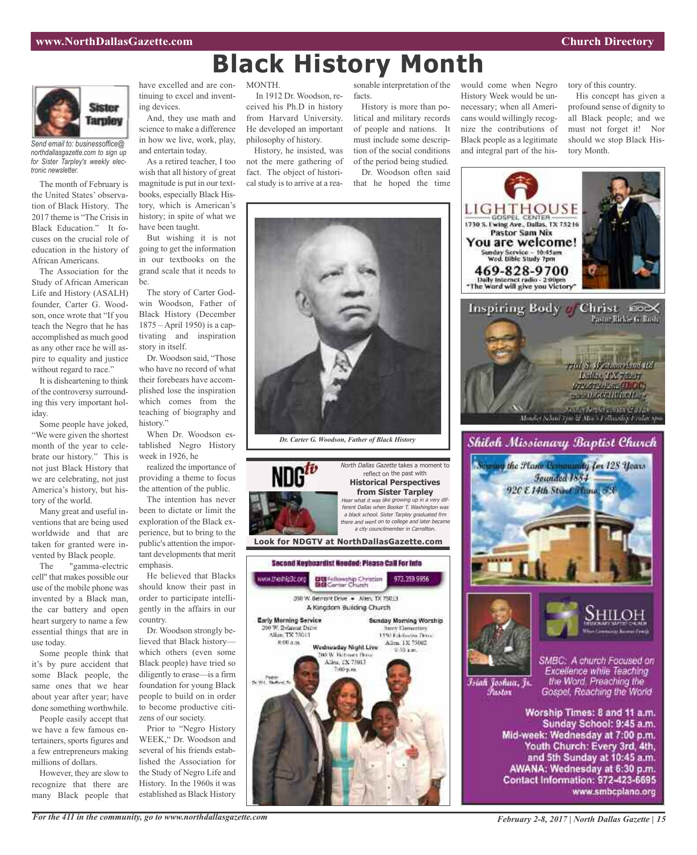

*Send email to: businessoffice@ northdallasgazette.com to sign up for Sister Tarpley's weekly electronic newsletter.*

The month of February is the United States' observation of Black History. The 2017 theme is "The Crisis in Black Education." It focuses on the crucial role of education in the history of African Americans.

The Association for the Study of African American Life and History (ASALH) founder, Carter G. Woodson, once wrote that "If you teach the Negro that he has accomplished as much good as any other race he will aspire to equality and justice without regard to race."

It is disheartening to think of the controversy surrounding this very important holiday.

Some people have joked, "We were given the shortest month of the year to celebrate our history." This is not just Black History that we are celebrating, not just America's history, but history of the world.

Many great and useful inventions that are being used worldwide and that are taken for granted were invented by Black people.

The "gamma-electric cell" that makes possible our use of the mobile phone was invented by a Black man, the car battery and open heart surgery to name a few essential things that are in use today.

Some people think that it's by pure accident that some Black people, the same ones that we hear about year after year; have done something worthwhile.

People easily accept that we have a few famous entertainers, sports figures and a few entrepreneurs making millions of dollars.

However, they are slow to recognize that there are many Black people that

have excelled and are continuing to excel and inventing devices.

And, they use math and science to make a difference in how we live, work, play, and entertain today.

As a retired teacher, I too wish that all history of great magnitude is put in our textbooks, especially Black History, which is American's history; in spite of what we have been taught.

But wishing it is not going to get the information in our textbooks on the grand scale that it needs to be.

The story of Carter Godwin Woodson, Father of Black History (December 1875 – April 1950) is a captivating and inspiration story in itself.

Dr. Woodson said, "Those who have no record of what their forebears have accomplished lose the inspiration which comes from the teaching of biography and history."

When Dr. Woodson established Negro History week in 1926, he

realized the importance of providing a theme to focus the attention of the public.

The intention has never been to dictate or limit the exploration of the Black experience, but to bring to the public's attention the important developments that merit emphasis.

He believed that Blacks should know their past in order to participate intelligently in the affairs in our country.

Dr. Woodson strongly believed that Black history which others (even some Black people) have tried so diligently to erase—is a firm foundation for young Black people to build on in order to become productive citizens of our society.

Prior to "Negro History WEEK," Dr. Woodson and several of his friends established the Association for the Study of Negro Life and History. In the 1960s it was established as Black History

MONTH.

In 1912 Dr. Woodson, received his Ph.D in history from Harvard University. He developed an important philosophy of history.

History, he insisted, was not the mere gathering of fact. The object of historical study is to arrive at a rea-

sonable interpretation of the facts.

**Black History Month**

History is more than political and military records of people and nations. It must include some description of the social conditions of the period being studied. Dr. Woodson often said that he hoped the time

would come when Negro History Week would be unnecessary; when all Americans would willingly recognize the contributions of Black people as a legitimate and integral part of the history of this country.

His concept has given a profound sense of dignity to all Black people; and we must not forget it! Nor should we stop Black History Month.







www.theshipBc.org

Early Morning Service

200 W. Belanciat Drive

Allen, TX 75013  $0.004m$ 

reflect on the past with **Historical Perspectives from Sister Tarpley** Hear what it was like growing up in <sup>a</sup> very different Dallas when Booker T. Washington was <sup>a</sup> black school. Sister Tarpley graduated frm there and went on to college and later became <sup>a</sup> city councilmember in Carrollton.

viv Elementarı

**Look for NDGTV at NorthDallasGazette.com**

Second Keyboardist Needed: Please CaB For Info

**Big** Fellowship Christian<br>图图 Center Church

200 W. Berrort Drive . - Allen, TX 75013 A Kingdom Building Church

> Wednesday Night Live to W Retmen Doss

Allen, TX 75013  $7.00~\text{p}$ .n